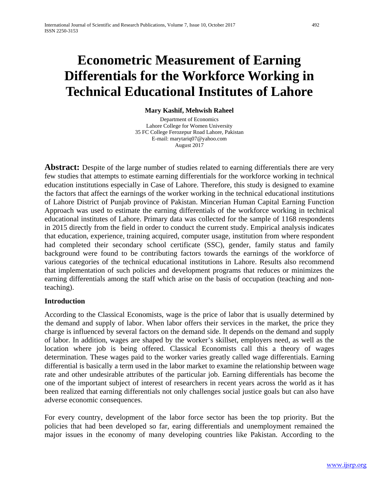# **Econometric Measurement of Earning Differentials for the Workforce Working in Technical Educational Institutes of Lahore**

**Mary Kashif, Mehwish Raheel**

Department of Economics Lahore College for Women University 35 FC College Ferozepur Road Lahore, Pakistan E-mail: marytariq07@yahoo.com August 2017

**Abstract:** Despite of the large number of studies related to earning differentials there are very few studies that attempts to estimate earning differentials for the workforce working in technical education institutions especially in Case of Lahore. Therefore, this study is designed to examine the factors that affect the earnings of the worker working in the technical educational institutions of Lahore District of Punjab province of Pakistan. Mincerian Human Capital Earning Function Approach was used to estimate the earning differentials of the workforce working in technical educational institutes of Lahore. Primary data was collected for the sample of 1168 respondents in 2015 directly from the field in order to conduct the current study. Empirical analysis indicates that education, experience, training acquired, computer usage, institution from where respondent had completed their secondary school certificate (SSC), gender, family status and family background were found to be contributing factors towards the earnings of the workforce of various categories of the technical educational institutions in Lahore. Results also recommend that implementation of such policies and development programs that reduces or minimizes the earning differentials among the staff which arise on the basis of occupation (teaching and nonteaching).

### **Introduction**

According to the Classical Economists, wage is the price of labor that is usually determined by the demand and supply of labor. When labor offers their services in the market, the price they charge is influenced by several factors on the demand side. It depends on the demand and supply of labor. In addition, wages are shaped by the worker's skillset, employers need, as well as the location where job is being offered. Classical Economists call this a theory of wages determination. These wages paid to the worker varies greatly called wage differentials. Earning differential is basically a term used in the labor market to examine the relationship between wage rate and other undesirable attributes of the particular job. Earning differentials has become the one of the important subject of interest of researchers in recent years across the world as it has been realized that earning differentials not only challenges social justice goals but can also have adverse economic consequences.

For every country, development of the labor force sector has been the top priority. But the policies that had been developed so far, earing differentials and unemployment remained the major issues in the economy of many developing countries like Pakistan. According to the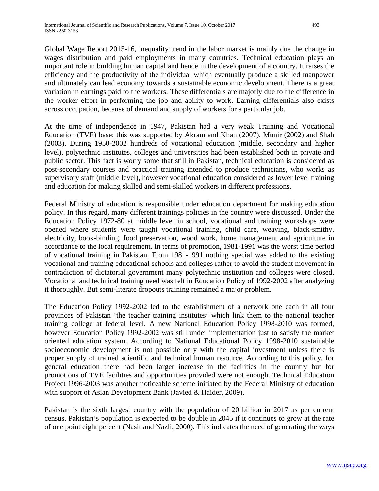Global Wage Report 2015-16, inequality trend in the labor market is mainly due the change in wages distribution and paid employments in many countries. Technical education plays an important role in building human capital and hence in the development of a country. It raises the efficiency and the productivity of the individual which eventually produce a skilled manpower and ultimately can lead economy towards a sustainable economic development. There is a great variation in earnings paid to the workers. These differentials are majorly due to the difference in the worker effort in performing the job and ability to work. Earning differentials also exists across occupation, because of demand and supply of workers for a particular job.

At the time of independence in 1947, Pakistan had a very weak Training and Vocational Education (TVE) base; this was supported by Akram and Khan (2007), Munir (2002) and Shah (2003). During 1950-2002 hundreds of vocational education (middle, secondary and higher level), polytechnic institutes, colleges and universities had been established both in private and public sector. This fact is worry some that still in Pakistan, technical education is considered as post-secondary courses and practical training intended to produce technicians, who works as supervisory staff (middle level), however vocational education considered as lower level training and education for making skilled and semi-skilled workers in different professions.

Federal Ministry of education is responsible under education department for making education policy. In this regard, many different trainings policies in the country were discussed. Under the Education Policy 1972-80 at middle level in school, vocational and training workshops were opened where students were taught vocational training, child care, weaving, black-smithy, electricity, book-binding, food preservation, wood work, home management and agriculture in accordance to the local requirement. In terms of promotion, 1981-1991 was the worst time period of vocational training in Pakistan. From 1981-1991 nothing special was added to the existing vocational and training educational schools and colleges rather to avoid the student movement in contradiction of dictatorial government many polytechnic institution and colleges were closed. Vocational and technical training need was felt in Education Policy of 1992-2002 after analyzing it thoroughly. But semi-literate dropouts training remained a major problem.

The Education Policy 1992-2002 led to the establishment of a network one each in all four provinces of Pakistan 'the teacher training institutes' which link them to the national teacher training college at federal level. A new National Education Policy 1998-2010 was formed, however Education Policy 1992-2002 was still under implementation just to satisfy the market oriented education system. According to National Educational Policy 1998-2010 sustainable socioeconomic development is not possible only with the capital investment unless there is proper supply of trained scientific and technical human resource. According to this policy, for general education there had been larger increase in the facilities in the country but for promotions of TVE facilities and opportunities provided were not enough. Technical Education Project 1996-2003 was another noticeable scheme initiated by the Federal Ministry of education with support of Asian Development Bank (Javied & Haider, 2009).

Pakistan is the sixth largest country with the population of 20 billion in 2017 as per current census. Pakistan's population is expected to be double in 2045 if it continues to grow at the rate of one point eight percent (Nasir and Nazli, 2000). This indicates the need of generating the ways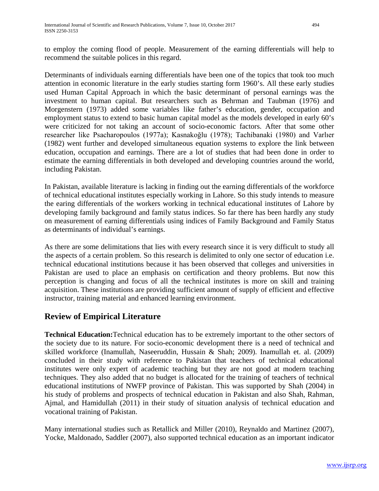to employ the coming flood of people. Measurement of the earning differentials will help to recommend the suitable polices in this regard.

Determinants of individuals earning differentials have been one of the topics that took too much attention in economic literature in the early studies starting form 1960's. All these early studies used Human Capital Approach in which the basic determinant of personal earnings was the investment to human capital. But researchers such as Behrman and Taubman (1976) and Morgenstern (1973) added some variables like father's education, gender, occupation and employment status to extend to basic human capital model as the models developed in early 60's were criticized for not taking an account of socio-economic factors. After that some other researcher like Psacharopoulos (1977a); Kasnakoğlu (1978); Tachibanaki (1980) and Varlıer (1982) went further and developed simultaneous equation systems to explore the link between education, occupation and earnings. There are a lot of studies that had been done in order to estimate the earning differentials in both developed and developing countries around the world, including Pakistan.

In Pakistan, available literature is lacking in finding out the earning differentials of the workforce of technical educational institutes especially working in Lahore. So this study intends to measure the earing differentials of the workers working in technical educational institutes of Lahore by developing family background and family status indices. So far there has been hardly any study on measurement of earning differentials using indices of Family Background and Family Status as determinants of individual's earnings.

As there are some delimitations that lies with every research since it is very difficult to study all the aspects of a certain problem. So this research is delimited to only one sector of education i.e. technical educational institutions because it has been observed that colleges and universities in Pakistan are used to place an emphasis on certification and theory problems. But now this perception is changing and focus of all the technical institutes is more on skill and training acquisition. These institutions are providing sufficient amount of supply of efficient and effective instructor, training material and enhanced learning environment.

# **Review of Empirical Literature**

**Technical Education:**Technical education has to be extremely important to the other sectors of the society due to its nature. For socio-economic development there is a need of technical and skilled workforce (Inamullah, Naseeruddin, Hussain & Shah; 2009). Inamullah et. al. (2009) concluded in their study with reference to Pakistan that teachers of technical educational institutes were only expert of academic teaching but they are not good at modern teaching techniques. They also added that no budget is allocated for the training of teachers of technical educational institutions of NWFP province of Pakistan. This was supported by Shah (2004) in his study of problems and prospects of technical education in Pakistan and also Shah, Rahman, Ajmal, and Hamidullah (2011) in their study of situation analysis of technical education and vocational training of Pakistan.

Many international studies such as Retallick and Miller (2010), Reynaldo and Martinez (2007), Yocke, Maldonado, Saddler (2007), also supported technical education as an important indicator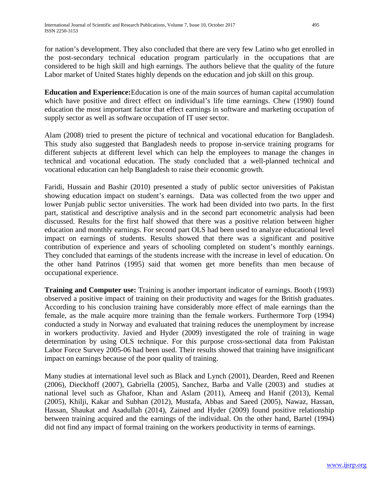for nation's development. They also concluded that there are very few Latino who get enrolled in the post-secondary technical education program particularly in the occupations that are considered to be high skill and high earnings. The authors believe that the quality of the future Labor market of United States highly depends on the education and job skill on this group.

**Education and Experience:**Education is one of the main sources of human capital accumulation which have positive and direct effect on individual's life time earnings. Chew (1990) found education the most important factor that effect earnings in software and marketing occupation of supply sector as well as software occupation of IT user sector.

Alam (2008) tried to present the picture of technical and vocational education for Bangladesh. This study also suggested that Bangladesh needs to propose in-service training programs for different subjects at different level which can help the employees to manage the changes in technical and vocational education. The study concluded that a well-planned technical and vocational education can help Bangladesh to raise their economic growth.

Faridi, Hussain and Bashir (2010) presented a study of public sector universities of Pakistan showing education impact on student's earnings. Data was collected from the two upper and lower Punjab public sector universities. The work had been divided into two parts. In the first part, statistical and descriptive analysis and in the second part econometric analysis had been discussed. Results for the first half showed that there was a positive relation between higher education and monthly earnings. For second part OLS had been used to analyze educational level impact on earnings of students. Results showed that there was a significant and positive contribution of experience and years of schooling completed on student's monthly earnings. They concluded that earnings of the students increase with the increase in level of education. On the other hand Patrinos (1995) said that women get more benefits than men because of occupational experience.

**Training and Computer use:** Training is another important indicator of earnings. Booth (1993) observed a positive impact of training on their productivity and wages for the British graduates. According to his conclusion training have considerably more effect of male earnings than the female, as the male acquire more training than the female workers. Furthermore Torp (1994) conducted a study in Norway and evaluated that training reduces the unemployment by increase in workers productivity. Javied and Hyder (2009) investigated the role of training in wage determination by using OLS technique. For this purpose cross-sectional data from Pakistan Labor Force Survey 2005-06 had been used. Their results showed that training have insignificant impact on earnings because of the poor quality of training.

Many studies at international level such as Black and Lynch (2001), Dearden, Reed and Reenen (2006), Dieckhoff (2007), Gabriella (2005), Sanchez, Barba and Valle (2003) and studies at national level such as Ghafoor, Khan and Aslam (2011), Ameeq and Hanif (2013), Kemal (2005), Khilji, Kakar and Subhan (2012), Mustafa, Abbas and Saeed (2005), Nawaz, Hassan, Hassan, Shaukat and Asadullah (2014), Zained and Hyder (2009) found positive relationship between training acquired and the earnings of the individual. On the other hand, Bartel (1994) did not find any impact of formal training on the workers productivity in terms of earnings.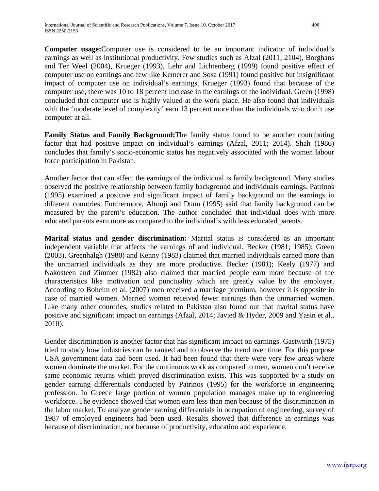**Computer usage:**Computer use is considered to be an important indicator of individual's earnings as well as institutional productivity. Few studies such as Afzal (2011; 2104), Borghans and Ter Weel (2004), Krueger (1993), Lehr and Lichtenberg (1999) found positive effect of computer use on earnings and few like Kemerer and Sosa (1991) found positive but insignificant impact of computer use on individual's earnings. Krueger (1993) found that because of the computer use, there was 10 to 18 percent increase in the earnings of the individual. Green (1998) concluded that computer use is highly valued at the work place. He also found that individuals with the 'moderate level of complexity' earn 13 percent more than the individuals who don't use computer at all.

**Family Status and Family Background:**The family status found to be another contributing factor that had positive impact on individual's earnings (Afzal, 2011; 2014). Shah (1986) concludes that family's socio-economic status has negatively associated with the women labour force participation in Pakistan.

Another factor that can affect the earnings of the individual is family background. Many studies observed the positive relationship between family background and individuals earnings. Patrinos (1995) examined a positive and significant impact of family background on the earnings in different countries. Furthermore, Altonji and Dunn (1995) said that family background can be measured by the parent's education. The author concluded that individual does with more educated parents earn more as compared to the individual's with less educated parents.

**Marital status and gender discrimination:** Marital status is considered as an important independent variable that affects the earnings of and individual. Becker (1981; 1985); Green (2003), Greenhalgh (1980) and Kenny (1983) claimed that married individuals earned more than the unmarried individuals as they are more productive. Becker (1981); Keely (1977) and Nakosteen and Zimmer (1982) also claimed that married people earn more because of the characteristics like motivation and punctuality which are greatly value by the employer. According to Boheim et al. (2007) men received a marriage premium, however it is opposite in case of married women. Married women received fewer earnings than the unmarried women. Like many other countries, studies related to Pakistan also found out that marital status have positive and significant impact on earnings (Afzal, 2014; Javied & Hyder, 2009 and Yasin et al., 2010).

Gender discrimination is another factor that has significant impact on earnings. Gastwirth (1975) tried to study how industries can be ranked and to observe the trend over time. For this purpose USA government data had been used. It had been found that there were very few areas where women dominate the market. For the continuous work as compared to men, women don't receive same economic returns which proved discrimination exists. This was supported by a study on gender earning differentials conducted by Patrinos (1995) for the workforce in engineering profession. In Greece large portion of women population manages make up to engineering workforce. The evidence showed that women earn less than men because of the discrimination in the labor market. To analyze gender earning differentials in occupation of engineering, survey of 1987 of employed engineers had been used. Results showed that difference in earnings was because of discrimination, not because of productivity, education and experience.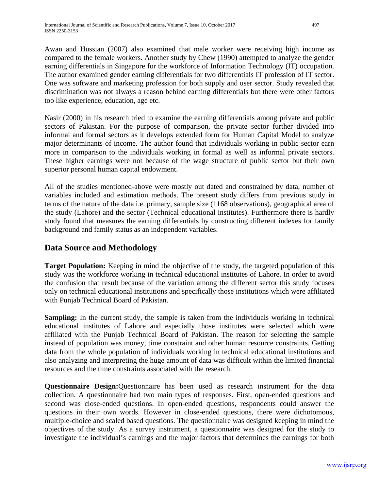Awan and Hussian (2007) also examined that male worker were receiving high income as compared to the female workers. Another study by Chew (1990) attempted to analyze the gender earning differentials in Singapore for the workforce of Information Technology (IT) occupation. The author examined gender earning differentials for two differentials IT profession of IT sector. One was software and marketing profession for both supply and user sector. Study revealed that discrimination was not always a reason behind earning differentials but there were other factors too like experience, education, age etc.

Nasir (2000) in his research tried to examine the earning differentials among private and public sectors of Pakistan. For the purpose of comparison, the private sector further divided into informal and formal sectors as it develops extended form for Human Capital Model to analyze major determinants of income. The author found that individuals working in public sector earn more in comparison to the individuals working in formal as well as informal private sectors. These higher earnings were not because of the wage structure of public sector but their own superior personal human capital endowment.

All of the studies mentioned-above were mostly out dated and constrained by data, number of variables included and estimation methods. The present study differs from previous study in terms of the nature of the data i.e. primary, sample size (1168 observations), geographical area of the study (Lahore) and the sector (Technical educational institutes). Furthermore there is hardly study found that measures the earning differentials by constructing different indexes for family background and family status as an independent variables.

# **Data Source and Methodology**

**Target Population:** Keeping in mind the objective of the study, the targeted population of this study was the workforce working in technical educational institutes of Lahore. In order to avoid the confusion that result because of the variation among the different sector this study focuses only on technical educational institutions and specifically those institutions which were affiliated with Punjab Technical Board of Pakistan.

**Sampling:** In the current study, the sample is taken from the individuals working in technical educational institutes of Lahore and especially those institutes were selected which were affiliated with the Punjab Technical Board of Pakistan. The reason for selecting the sample instead of population was money, time constraint and other human resource constraints. Getting data from the whole population of individuals working in technical educational institutions and also analyzing and interpreting the huge amount of data was difficult within the limited financial resources and the time constraints associated with the research.

**Questionnaire Design:**Questionnaire has been used as research instrument for the data collection. A questionnaire had two main types of responses. First, open-ended questions and second was close-ended questions. In open-ended questions, respondents could answer the questions in their own words. However in close-ended questions, there were dichotomous, multiple-choice and scaled based questions. The questionnaire was designed keeping in mind the objectives of the study. As a survey instrument, a questionnaire was designed for the study to investigate the individual's earnings and the major factors that determines the earnings for both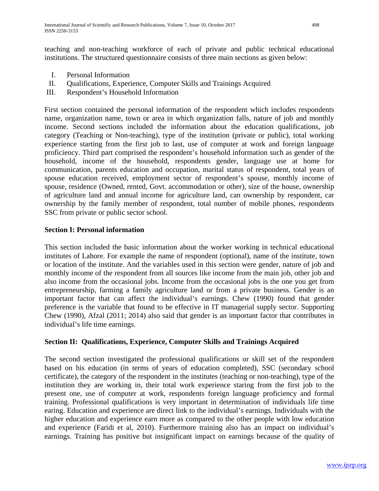teaching and non-teaching workforce of each of private and public technical educational institutions. The structured questionnaire consists of three main sections as given below:

- I. Personal Information
- II. Qualifications, Experience, Computer Skills and Trainings Acquired
- III. Respondent's Household Information

First section contained the personal information of the respondent which includes respondents name, organization name, town or area in which organization falls, nature of job and monthly income. Second sections included the information about the education qualifications, job category (Teaching or Non-teaching), type of the institution (private or public), total working experience starting from the first job to last, use of computer at work and foreign language proficiency. Third part comprised the respondent's household information such as gender of the household, income of the household, respondents gender, language use at home for communication, parents education and occupation, marital status of respondent, total years of spouse education received, employment sector of respondent's spouse, monthly income of spouse, residence (Owned, rented, Govt. accommodation or other), size of the house, ownership of agriculture land and annual income for agriculture land, can ownership by respondent, car ownership by the family member of respondent, total number of mobile phones, respondents SSC from private or public sector school.

### **Section I: Personal information**

This section included the basic information about the worker working in technical educational institutes of Lahore. For example the name of respondent (optional), name of the institute, town or location of the institute. And the variables used in this section were gender, nature of job and monthly income of the respondent from all sources like income from the main job, other job and also income from the occasional jobs. Income from the occasional jobs is the one you get from entrepreneurship, farming a family agriculture land or from a private business. Gender is an important factor that can affect the individual's earnings. Chew (1990) found that gender preference is the variable that found to be effective in IT managerial supply sector. Supporting Chew (1990), Afzal (2011; 2014) also said that gender is an important factor that contributes in individual's life time earnings.

### **Section II: Qualifications, Experience, Computer Skills and Trainings Acquired**

The second section investigated the professional qualifications or skill set of the respondent based on his education (in terms of years of education completed), SSC (secondary school certificate), the category of the respondent in the institutes (teaching or non-teaching), type of the institution they are working in, their total work experience staring from the first job to the present one, use of computer at work, respondents foreign language proficiency and formal training. Professional qualifications is very important in determination of individuals life time earing. Education and experience are direct link to the individual's earnings. Individuals with the higher education and experience earn more as compared to the other people with low education and experience (Faridi et al, 2010). Furthermore training also has an impact on individual's earnings. Training has positive but insignificant impact on earnings because of the quality of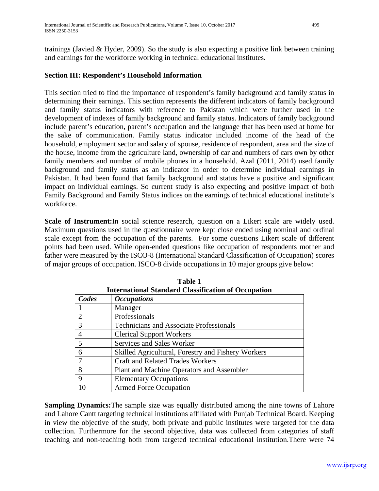trainings (Javied & Hyder, 2009). So the study is also expecting a positive link between training and earnings for the workforce working in technical educational institutes.

### **Section III: Respondent's Household Information**

This section tried to find the importance of respondent's family background and family status in determining their earnings. This section represents the different indicators of family background and family status indicators with reference to Pakistan which were further used in the development of indexes of family background and family status. Indicators of family background include parent's education, parent's occupation and the language that has been used at home for the sake of communication. Family status indicator included income of the head of the household, employment sector and salary of spouse, residence of respondent, area and the size of the house, income from the agriculture land, ownership of car and numbers of cars own by other family members and number of mobile phones in a household. Azal (2011, 2014) used family background and family status as an indicator in order to determine individual earnings in Pakistan. It had been found that family background and status have a positive and significant impact on individual earnings. So current study is also expecting and positive impact of both Family Background and Family Status indices on the earnings of technical educational institute's workforce.

**Scale of Instrument:**In social science research, question on a Likert scale are widely used. Maximum questions used in the questionnaire were kept close ended using nominal and ordinal scale except from the occupation of the parents. For some questions Likert scale of different points had been used. While open-ended questions like occupation of respondents mother and father were measured by the ISCO-8 (International Standard Classification of Occupation) scores of major groups of occupation. ISCO-8 divide occupations in 10 major groups give below:

| Thiernational Standard Classification of Occupation |                                                    |  |  |
|-----------------------------------------------------|----------------------------------------------------|--|--|
| Codes                                               | <i><b>Occupations</b></i>                          |  |  |
|                                                     | Manager                                            |  |  |
| 2                                                   | Professionals                                      |  |  |
| 3                                                   | <b>Technicians and Associate Professionals</b>     |  |  |
|                                                     | <b>Clerical Support Workers</b>                    |  |  |
| 5                                                   | Services and Sales Worker                          |  |  |
| 6                                                   | Skilled Agricultural, Forestry and Fishery Workers |  |  |
|                                                     | <b>Craft and Related Trades Workers</b>            |  |  |
| 8                                                   | Plant and Machine Operators and Assembler          |  |  |
| 9                                                   | <b>Elementary Occupations</b>                      |  |  |
|                                                     | <b>Armed Force Occupation</b>                      |  |  |

**Table 1 International Standard Classification of Occupation**

**Sampling Dynamics:**The sample size was equally distributed among the nine towns of Lahore and Lahore Cantt targeting technical institutions affiliated with Punjab Technical Board. Keeping in view the objective of the study, both private and public institutes were targeted for the data collection. Furthermore for the second objective, data was collected from categories of staff teaching and non-teaching both from targeted technical educational institution.There were 74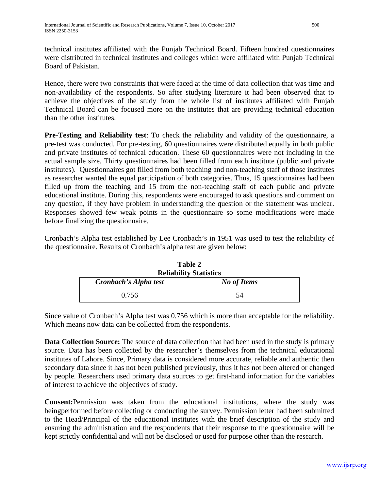technical institutes affiliated with the Punjab Technical Board. Fifteen hundred questionnaires were distributed in technical institutes and colleges which were affiliated with Punjab Technical Board of Pakistan.

Hence, there were two constraints that were faced at the time of data collection that was time and non-availability of the respondents. So after studying literature it had been observed that to achieve the objectives of the study from the whole list of institutes affiliated with Punjab Technical Board can be focused more on the institutes that are providing technical education than the other institutes.

**Pre-Testing and Reliability test**: To check the reliability and validity of the questionnaire, a pre-test was conducted. For pre-testing, 60 questionnaires were distributed equally in both public and private institutes of technical education. These 60 questionnaires were not including in the actual sample size. Thirty questionnaires had been filled from each institute (public and private institutes). Questionnaires got filled from both teaching and non-teaching staff of those institutes as researcher wanted the equal participation of both categories. Thus, 15 questionnaires had been filled up from the teaching and 15 from the non-teaching staff of each public and private educational institute. During this, respondents were encouraged to ask questions and comment on any question, if they have problem in understanding the question or the statement was unclear. Responses showed few weak points in the questionnaire so some modifications were made before finalizing the questionnaire.

Cronbach's Alpha test established by Lee Cronbach's in 1951 was used to test the reliability of the questionnaire. Results of Cronbach's alpha test are given below:

| <b>Reliability Statistics</b>        |    |  |  |  |
|--------------------------------------|----|--|--|--|
| Cronbach's Alpha test<br>No of Items |    |  |  |  |
| 0.756                                | 54 |  |  |  |

**Table 2**

Since value of Cronbach's Alpha test was 0.756 which is more than acceptable for the reliability. Which means now data can be collected from the respondents.

**Data Collection Source:** The source of data collection that had been used in the study is primary source. Data has been collected by the researcher's themselves from the technical educational institutes of Lahore. Since, Primary data is considered more accurate, reliable and authentic then secondary data since it has not been published previously, thus it has not been altered or changed by people. Researchers used primary data sources to get first-hand information for the variables of interest to achieve the objectives of study.

**Consent:**Permission was taken from the educational institutions, where the study was beingperformed before collecting or conducting the survey. Permission letter had been submitted to the Head/Principal of the educational institutes with the brief description of the study and ensuring the administration and the respondents that their response to the questionnaire will be kept strictly confidential and will not be disclosed or used for purpose other than the research.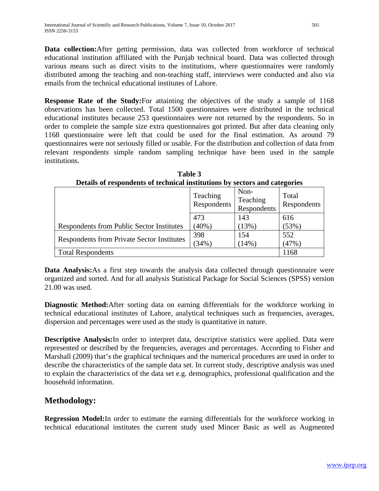**Data collection:**After getting permission, data was collected from workforce of technical educational institution affiliated with the Punjab technical board. Data was collected through various means such as direct visits to the institutions, where questionnaires were randomly distributed among the teaching and non-teaching staff, interviews were conducted and also via emails from the technical educational institutes of Lahore.

**Response Rate of the Study:**For attainting the objectives of the study a sample of 1168 observations has been collected. Total 1500 questionnaires were distributed in the technical educational institutes because 253 questionnaires were not returned by the respondents. So in order to complete the sample size extra questionnaires got printed. But after data cleaning only 1168 questionnaire were left that could be used for the final estimation. As around 79 questionnaires were not seriously filled or usable. For the distribution and collection of data from relevant respondents simple random sampling technique have been used in the sample institutions.

|                                                   | Teaching<br>Respondents | Non-<br>Teaching<br>Respondents | Total<br>Respondents |
|---------------------------------------------------|-------------------------|---------------------------------|----------------------|
|                                                   | 473                     | 143                             | 616                  |
| <b>Respondents from Public Sector Institutes</b>  | (40%)                   | (13%)                           | (53%)                |
|                                                   | 398                     | 154                             | 552                  |
| <b>Respondents from Private Sector Institutes</b> | (34% )                  | $(14\%)$                        | (47%)                |
| <b>Total Respondents</b>                          |                         |                                 | 1168                 |

**Table 3 Details of respondents of technical institutions by sectors and categories**

**Data Analysis:**As a first step towards the analysis data collected through questionnaire were organized and sorted. And for all analysis Statistical Package for Social Sciences (SPSS) version 21.00 was used.

**Diagnostic Method:**After sorting data on earning differentials for the workforce working in technical educational institutes of Lahore, analytical techniques such as frequencies, averages, dispersion and percentages were used as the study is quantitative in nature.

**Descriptive Analysis:**In order to interpret data, descriptive statistics were applied. Data were represented or described by the frequencies, averages and percentages. According to Fisher and Marshall (2009) that's the graphical techniques and the numerical procedures are used in order to describe the characteristics of the sample data set. In current study, descriptive analysis was used to explain the characteristics of the data set e.g. demographics, professional qualification and the household information.

# **Methodology:**

**Regression Model:**In order to estimate the earning differentials for the workforce working in technical educational institutes the current study used Mincer Basic as well as Augmented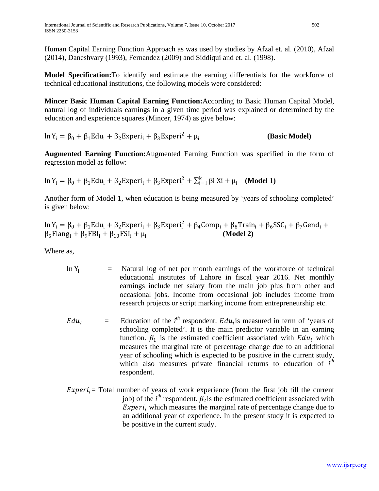Human Capital Earning Function Approach as was used by studies by Afzal et. al. (2010), Afzal (2014), Daneshvary (1993), Fernandez (2009) and Siddiqui and et. al. (1998).

**Model Specification:**To identify and estimate the earning differentials for the workforce of technical educational institutions, the following models were considered:

**Mincer Basic Human Capital Earning Function:**According to Basic Human Capital Model, natural log of individuals earnings in a given time period was explained or determined by the education and experience squares (Mincer, 1974) as give below:

$$
\ln Y_{i} = \beta_{0} + \beta_{1} E du_{i} + \beta_{2} E x per i_{i} + \beta_{3} E x per i_{i}^{2} + \mu_{i}
$$
 (Basic Model)

**Augmented Earning Function:**Augmented Earning Function was specified in the form of regression model as follow:

 $\ln Y_i = \beta_0 + \beta_1 \text{Edu}_i + \beta_2 \text{Experi}_i + \beta_3 \text{Experi}_i^2 + \sum_{i=1}^k \beta_i X_i + \mu_i$  (**Model 1**)

Another form of Model 1, when education is being measured by 'years of schooling completed' is given below:

$$
\ln Y_i = \beta_0 + \beta_1 E du_i + \beta_2 E x peri_i + \beta_3 E x peri_i^2 + \beta_4 Comp_i + \beta_8 Train_i + \beta_6 SSC_i + \beta_7 Gend_i + \beta_5 Flang_i + \beta_9 FBI_i + \beta_{10} FSI_i + \mu_i
$$
\n(Model 2)

Where as,

- $\ln Y_i$  = Natural log of net per month earnings of the workforce of technical educational institutes of Lahore in fiscal year 2016. Net monthly earnings include net salary from the main job plus from other and occasional jobs. Income from occasional job includes income from research projects or script marking income from entrepreneurship etc.
- $E du_i$  = Education of the *i*<sup>th</sup> respondent.  $E du_i$  is measured in term of 'years of schooling completed'. It is the main predictor variable in an earning function.  $\beta_1$  is the estimated coefficient associated with  $Edu_i$  which measures the marginal rate of percentage change due to an additional year of schooling which is expected to be positive in the current study, which also measures private financial returns to education of  $i^{th}$ respondent.
- $Experiment<sub>i</sub>$  Total number of years of work experience (from the first job till the current job) of the  $i^h$  respondent.  $\beta_2$  is the estimated coefficient associated with  $Experiment<sub>i</sub>$  which measures the marginal rate of percentage change due to an additional year of experience. In the present study it is expected to be positive in the current study.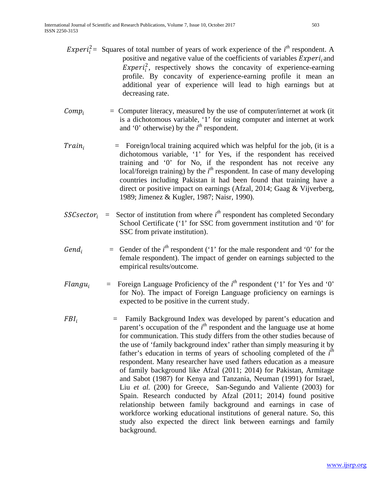- *Experi*<sup>2</sup> = Squares of total number of years of work experience of the *i*<sup>th</sup> respondent. A positive and negative value of the coefficients of variables  $Experiment$ ; and  $Experiment_i^2$ , respectively shows the concavity of experience-earning profile. By concavity of experience-earning profile it mean an additional year of experience will lead to high earnings but at decreasing rate.
- $Comp_i$  = Computer literacy, measured by the use of computer/internet at work (it is a dichotomous variable, '1' for using computer and internet at work and '0' otherwise) by the  $i<sup>th</sup>$  respondent.
- $Train_i$  = Foreign/local training acquired which was helpful for the job, (it is a dichotomous variable, '1' for Yes, if the respondent has received training and '0' for No, if the respondent has not receive any local/foreign training) by the *i*<sup>th</sup> respondent. In case of many developing countries including Pakistan it had been found that training have a direct or positive impact on earnings (Afzal, 2014; Gaag & Vijverberg, 1989; Jimenez & Kugler, 1987; Naisr, 1990).
- $SSC sector_i$  = Sector of institution from where  $i^{th}$  respondent has completed Secondary School Certificate ('1' for SSC from government institution and '0' for SSC from private institution).
- Gend<sub>i</sub> = Gender of the  $i^{th}$  respondent ('1' for the male respondent and '0' for the female respondent). The impact of gender on earnings subjected to the empirical results/outcome.
- *Flangu<sub>i</sub>* = Foreign Language Proficiency of the  $i^{th}$  respondent ('1' for Yes and '0' for No). The impact of Foreign Language proficiency on earnings is expected to be positive in the current study.
- $FBI_i$  = Family Background Index was developed by parent's education and parent's occupation of the *i*<sup>th</sup> respondent and the language use at home for communication. This study differs from the other studies because of the use of 'family background index' rather than simply measuring it by father's education in terms of years of schooling completed of the *i*<sup>th</sup> respondent. Many researcher have used fathers education as a measure of family background like Afzal (2011; 2014) for Pakistan, Armitage and Sabot (1987) for Kenya and Tanzania, Neuman (1991) for Israel, Liu *et al.* (200) for Greece, San-Segundo and Valiente (2003) for Spain. Research conducted by Afzal (2011; 2014) found positive relationship between family background and earnings in case of workforce working educational institutions of general nature. So, this study also expected the direct link between earnings and family background.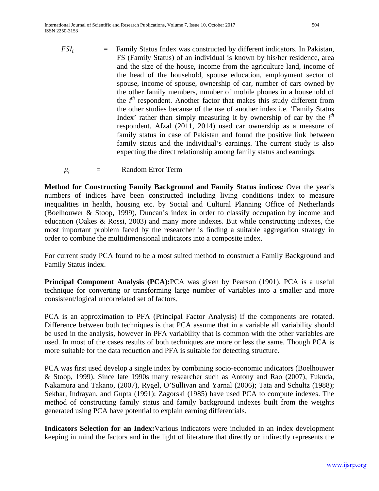$$
FSI_i
$$
 = Family Status Index was constructed by different indicators. In Pakistan, FS (Family Status) of an individual is known by his/her residence, area and the size of the house, income from the agriculture land, income of the head of the household, spouse education, employment sector of spouse, income of spouse, ownership of car, number of cars owned by the other family members, number of mobile phones in a household of the *i*<sup>th</sup> responder. Another factor that makes this study different from the other studies because of the use of another index i.e. 'Family Status Index' rather than simply measuring it by ownership of car by the *i*<sup>th</sup> responder. Afzal (2011, 2014) used car ownership as a measure of family status in case of Pakistan and found the positive link between family status and the individual's earnings. The current study is also expecting the direct relationship among family status and earnings.

 $\mu_i$  = Random Error Term

**Method for Constructing Family Background and Family Status indices***:* Over the year's numbers of indices have been constructed including living conditions index to measure inequalities in health, housing etc. by Social and Cultural Planning Office of Netherlands (Boelhouwer & Stoop, 1999), Duncan's index in order to classify occupation by income and education (Oakes & Rossi, 2003) and many more indexes. But while constructing indexes, the most important problem faced by the researcher is finding a suitable aggregation strategy in order to combine the multidimensional indicators into a composite index.

For current study PCA found to be a most suited method to construct a Family Background and Family Status index.

**Principal Component Analysis (PCA):**PCA was given by Pearson (1901). PCA is a useful technique for converting or transforming large number of variables into a smaller and more consistent/logical uncorrelated set of factors.

PCA is an approximation to PFA (Principal Factor Analysis) if the components are rotated. Difference between both techniques is that PCA assume that in a variable all variability should be used in the analysis, however in PFA variability that is common with the other variables are used. In most of the cases results of both techniques are more or less the same. Though PCA is more suitable for the data reduction and PFA is suitable for detecting structure.

PCA was first used develop a single index by combining socio-economic indicators (Boelhouwer & Stoop, 1999). Since late 1990s many researcher such as Antony and Rao (2007), Fukuda, Nakamura and Takano, (2007), Rygel, O'Sullivan and Yarnal (2006); Tata and Schultz (1988); Sekhar, Indrayan, and Gupta (1991); Zagorski (1985) have used PCA to compute indexes. The method of constructing family status and family background indexes built from the weights generated using PCA have potential to explain earning differentials.

**Indicators Selection for an Index:**Various indicators were included in an index development keeping in mind the factors and in the light of literature that directly or indirectly represents the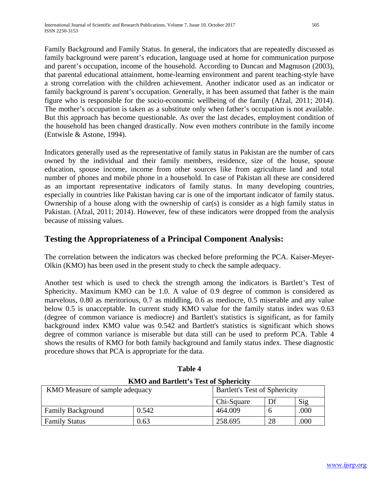Family Background and Family Status. In general, the indicators that are repeatedly discussed as family background were parent's education, language used at home for communication purpose and parent's occupation, income of the household. According to Duncan and Magnuson (2003), that parental educational attainment, home-learning environment and parent teaching-style have a strong correlation with the children achievement. Another indicator used as an indicator or family background is parent's occupation. Generally, it has been assumed that father is the main figure who is responsible for the socio-economic wellbeing of the family (Afzal, 2011; 2014). The mother's occupation is taken as a substitute only when father's occupation is not available. But this approach has become questionable. As over the last decades, employment condition of the household has been changed drastically. Now even mothers contribute in the family income (Entwisle & Astone, 1994).

Indicators generally used as the representative of family status in Pakistan are the number of cars owned by the individual and their family members, residence, size of the house, spouse education, spouse income, income from other sources like from agriculture land and total number of phones and mobile phone in a household. In case of Pakistan all these are considered as an important representative indicators of family status. In many developing countries, especially in countries like Pakistan having car is one of the important indicator of family status. Ownership of a house along with the ownership of car(s) is consider as a high family status in Pakistan. (Afzal, 2011; 2014). However, few of these indicators were dropped from the analysis because of missing values.

# **Testing the Appropriateness of a Principal Component Analysis:**

The correlation between the indicators was checked before preforming the PCA. Kaiser-Meyer-Olkin (KMO) has been used in the present study to check the sample adequacy.

Another test which is used to check the strength among the indicators is Bartlett's Test of Sphericity. Maximum KMO can be 1.0. A value of 0.9 degree of common is considered as marvelous, 0.80 as meritorious, 0.7 as middling, 0.6 as mediocre, 0.5 miserable and any value below 0.5 is unacceptable. In current study KMO value for the family status index was 0.63 (degree of common variance is mediocre) and Bartlett's statistics is significant, as for family background index KMO value was 0.542 and Bartlett's statistics is significant which shows degree of common variance is miserable but data still can be used to preform PCA. Table 4 shows the results of KMO for both family background and family status index. These diagnostic procedure shows that PCA is appropriate for the data.

| <b>KMO and Bartlett's Test of Sphericity</b> |       |                                      |    |      |  |
|----------------------------------------------|-------|--------------------------------------|----|------|--|
| KMO Measure of sample adequacy               |       | <b>Bartlett's Test of Sphericity</b> |    |      |  |
|                                              |       | Chi-Square                           | Df | Sig  |  |
| <b>Family Background</b>                     | 0.542 | 464.009                              |    | .000 |  |
| <b>Family Status</b>                         | 0.63  | 258.695                              | 28 | .000 |  |

| Table 4                              |  |
|--------------------------------------|--|
| $VMA$ and Dawlett's Test of Sphawiai |  |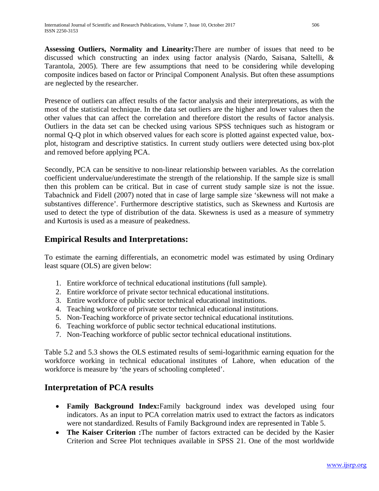**Assessing Outliers, Normality and Linearity:**There are number of issues that need to be discussed which constructing an index using factor analysis (Nardo, Saisana, Saltelli, & Tarantola, 2005). There are few assumptions that need to be considering while developing composite indices based on factor or Principal Component Analysis. But often these assumptions are neglected by the researcher.

Presence of outliers can affect results of the factor analysis and their interpretations, as with the most of the statistical technique. In the data set outliers are the higher and lower values then the other values that can affect the correlation and therefore distort the results of factor analysis. Outliers in the data set can be checked using various SPSS techniques such as histogram or normal Q-Q plot in which observed values for each score is plotted against expected value, boxplot, histogram and descriptive statistics. In current study outliers were detected using box-plot and removed before applying PCA.

Secondly, PCA can be sensitive to non-linear relationship between variables. As the correlation coefficient undervalue/underestimate the strength of the relationship. If the sample size is small then this problem can be critical. But in case of current study sample size is not the issue. Tabachnick and Fidell (2007) noted that in case of large sample size 'skewness will not make a substantives difference'. Furthermore descriptive statistics, such as Skewness and Kurtosis are used to detect the type of distribution of the data. Skewness is used as a measure of symmetry and Kurtosis is used as a measure of peakedness.

# **Empirical Results and Interpretations:**

To estimate the earning differentials, an econometric model was estimated by using Ordinary least square (OLS) are given below:

- 1. Entire workforce of technical educational institutions (full sample).
- 2. Entire workforce of private sector technical educational institutions.
- 3. Entire workforce of public sector technical educational institutions.
- 4. Teaching workforce of private sector technical educational institutions.
- 5. Non-Teaching workforce of private sector technical educational institutions.
- 6. Teaching workforce of public sector technical educational institutions.
- 7. Non-Teaching workforce of public sector technical educational institutions.

Table 5.2 and 5.3 shows the OLS estimated results of semi-logarithmic earning equation for the workforce working in technical educational institutes of Lahore, when education of the workforce is measure by 'the years of schooling completed'.

# **Interpretation of PCA results**

- **Family Background Index:**Family background index was developed using four indicators. As an input to PCA correlation matrix used to extract the factors as indicators were not standardized. Results of Family Background index are represented in Table 5.
- **The Kaiser Criterion :**The number of factors extracted can be decided by the Kasier Criterion and Scree Plot techniques available in SPSS 21. One of the most worldwide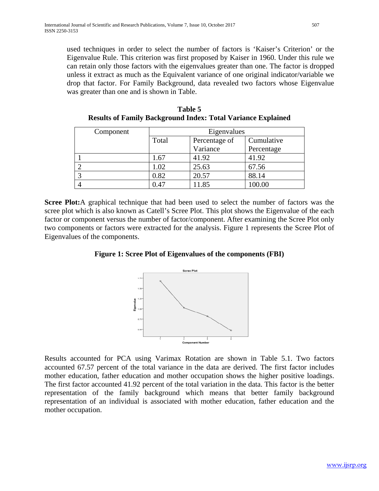used techniques in order to select the number of factors is 'Kaiser's Criterion' or the Eigenvalue Rule. This criterion was first proposed by Kaiser in 1960. Under this rule we can retain only those factors with the eigenvalues greater than one. The factor is dropped unless it extract as much as the Equivalent variance of one original indicator/variable we drop that factor. For Family Background, data revealed two factors whose Eigenvalue was greater than one and is shown in Table.

| Component |                        | Eigenvalues |            |
|-----------|------------------------|-------------|------------|
|           | Percentage of<br>Total |             | Cumulative |
|           |                        | Variance    | Percentage |
|           | 1.67                   | 41.92       | 41.92      |
|           | 1.02                   | 25.63       | 67.56      |
|           | 0.82                   | 20.57       | 88.14      |
|           | 0.47                   | 11.85       | 100.00     |

**Table 5 Results of Family Background Index: Total Variance Explained**

**Scree Plot:**A graphical technique that had been used to select the number of factors was the scree plot which is also known as Catell's Scree Plot. This plot shows the Eigenvalue of the each factor or component versus the number of factor/component. After examining the Scree Plot only two components or factors were extracted for the analysis. Figure 1 represents the Scree Plot of Eigenvalues of the components.

**Figure 1: Scree Plot of Eigenvalues of the components (FBI)**



Results accounted for PCA using Varimax Rotation are shown in Table 5.1. Two factors accounted 67.57 percent of the total variance in the data are derived. The first factor includes mother education, father education and mother occupation shows the higher positive loadings. The first factor accounted 41.92 percent of the total variation in the data. This factor is the better representation of the family background which means that better family background representation of an individual is associated with mother education, father education and the mother occupation.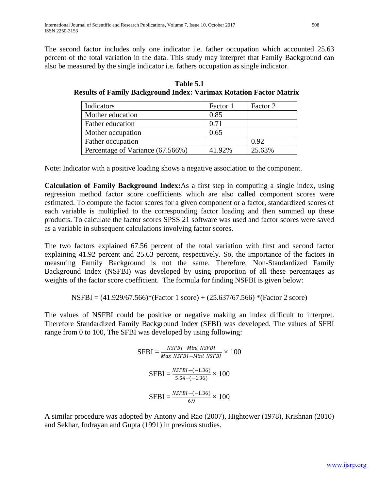The second factor includes only one indicator i.e. father occupation which accounted 25.63 percent of the total variation in the data. This study may interpret that Family Background can also be measured by the single indicator i.e. fathers occupation as single indicator.

| Indicators                       | Factor 1 | Factor 2 |
|----------------------------------|----------|----------|
| Mother education                 | 0.85     |          |
| Father education                 | 0.71     |          |
| Mother occupation                | 0.65     |          |
| Father occupation                |          | 0.92     |
| Percentage of Variance (67.566%) | 41.92%   | 25.63%   |

**Table 5.1 Results of Family Background Index: Varimax Rotation Factor Matrix**

Note: Indicator with a positive loading shows a negative association to the component.

**Calculation of Family Background Index:**As a first step in computing a single index, using regression method factor score coefficients which are also called component scores were estimated. To compute the factor scores for a given component or a factor, standardized scores of each variable is multiplied to the corresponding factor loading and then summed up these products. To calculate the factor scores SPSS 21 software was used and factor scores were saved as a variable in subsequent calculations involving factor scores.

The two factors explained 67.56 percent of the total variation with first and second factor explaining 41.92 percent and 25.63 percent, respectively. So, the importance of the factors in measuring Family Background is not the same. Therefore, Non-Standardized Family Background Index (NSFBI) was developed by using proportion of all these percentages as weights of the factor score coefficient. The formula for finding NSFBI is given below:

$$
NSFBI = (41.929/67.566) * (Factor 1 score) + (25.637/67.566) * (Factor 2 score)
$$

The values of NSFBI could be positive or negative making an index difficult to interpret. Therefore Standardized Family Background Index (SFBI) was developed. The values of SFBI range from 0 to 100, The SFBI was developed by using following:

$$
\text{SFBI} = \frac{NSFBI - Mini \; NSFBI}{Max \; NSFBI - Mini \; NSFBI} \times 100
$$
\n
$$
\text{SFBI} = \frac{NSFBI - (-1.36)}{5.54 - (-1.36)} \times 100
$$
\n
$$
\text{SFBI} = \frac{NSFBI - (-1.36)}{6.9} \times 100
$$

A similar procedure was adopted by Antony and Rao (2007), Hightower (1978), Krishnan (2010) and Sekhar, Indrayan and Gupta (1991) in previous studies.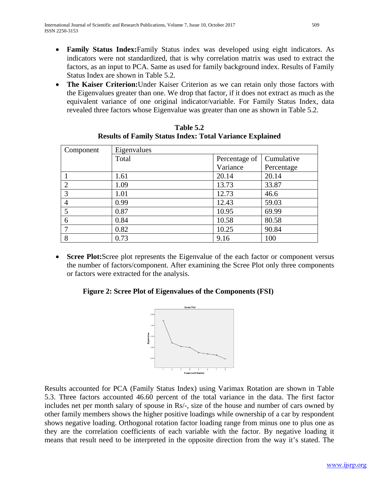- **Family Status Index:**Family Status index was developed using eight indicators. As indicators were not standardized, that is why correlation matrix was used to extract the factors, as an input to PCA. Same as used for family background index. Results of Family Status Index are shown in Table 5.2.
- **The Kaiser Criterion:**Under Kaiser Criterion as we can retain only those factors with the Eigenvalues greater than one. We drop that factor, if it does not extract as much as the equivalent variance of one original indicator/variable. For Family Status Index, data revealed three factors whose Eigenvalue was greater than one as shown in Table 5.2.

| Component     | Eigenvalues |               |            |  |  |
|---------------|-------------|---------------|------------|--|--|
|               | Total       | Percentage of | Cumulative |  |  |
|               |             | Variance      | Percentage |  |  |
|               | 1.61        | 20.14         | 20.14      |  |  |
| <u>ာ</u>      | 1.09        | 13.73         | 33.87      |  |  |
| $\mathcal{R}$ | 1.01        | 12.73         | 46.6       |  |  |
|               | 0.99        | 12.43         | 59.03      |  |  |
|               | 0.87        | 10.95         | 69.99      |  |  |
| 6             | 0.84        | 10.58         | 80.58      |  |  |
|               | 0.82        | 10.25         | 90.84      |  |  |
| 8             | 0.73        | 9.16          | 100        |  |  |

**Table 5.2 Results of Family Status Index: Total Variance Explained**

• **Scree Plot:**Scree plot represents the Eigenvalue of the each factor or component versus the number of factors/component. After examining the Scree Plot only three components or factors were extracted for the analysis.

# **Figure 2: Scree Plot of Eigenvalues of the Components (FSI)**



Results accounted for PCA (Family Status Index) using Varimax Rotation are shown in Table 5.3. Three factors accounted 46.60 percent of the total variance in the data. The first factor includes net per month salary of spouse in Rs/-, size of the house and number of cars owned by other family members shows the higher positive loadings while ownership of a car by respondent shows negative loading. Orthogonal rotation factor loading range from minus one to plus one as they are the correlation coefficients of each variable with the factor. By negative loading it means that result need to be interpreted in the opposite direction from the way it's stated. The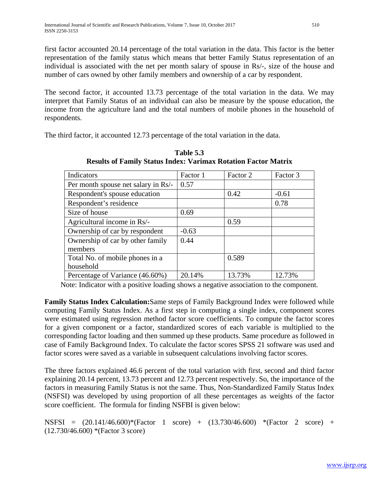first factor accounted 20.14 percentage of the total variation in the data. This factor is the better representation of the family status which means that better Family Status representation of an individual is associated with the net per month salary of spouse in Rs/-, size of the house and number of cars owned by other family members and ownership of a car by respondent.

The second factor, it accounted 13.73 percentage of the total variation in the data. We may interpret that Family Status of an individual can also be measure by the spouse education, the income from the agriculture land and the total numbers of mobile phones in the household of respondents.

The third factor, it accounted 12.73 percentage of the total variation in the data.

| Indicators                          | Factor 1 | Factor 2 | Factor 3 |
|-------------------------------------|----------|----------|----------|
| Per month spouse net salary in Rs/- | 0.57     |          |          |
| Respondent's spouse education       |          | 0.42     | $-0.61$  |
| Respondent's residence              |          |          | 0.78     |
| Size of house                       | 0.69     |          |          |
| Agricultural income in Rs/-         |          | 0.59     |          |
| Ownership of car by respondent      | $-0.63$  |          |          |
| Ownership of car by other family    | 0.44     |          |          |
| members                             |          |          |          |
| Total No. of mobile phones in a     |          | 0.589    |          |
| household                           |          |          |          |
| Percentage of Variance (46.60%)     | 20.14%   | 13.73%   | 12.73%   |

**Table 5.3 Results of Family Status Index: Varimax Rotation Factor Matrix**

Note: Indicator with a positive loading shows a negative association to the component.

**Family Status Index Calculation:**Same steps of Family Background Index were followed while computing Family Status Index. As a first step in computing a single index, component scores were estimated using regression method factor score coefficients. To compute the factor scores for a given component or a factor, standardized scores of each variable is multiplied to the corresponding factor loading and then summed up these products. Same procedure as followed in case of Family Background Index. To calculate the factor scores SPSS 21 software was used and factor scores were saved as a variable in subsequent calculations involving factor scores.

The three factors explained 46.6 percent of the total variation with first, second and third factor explaining 20.14 percent, 13.73 percent and 12.73 percent respectively. So, the importance of the factors in measuring Family Status is not the same. Thus, Non-Standardized Family Status Index (NSFSI) was developed by using proportion of all these percentages as weights of the factor score coefficient. The formula for finding NSFBI is given below:

NSFSI = (20.141/46.600)\*(Factor 1 score) + (13.730/46.600) \*(Factor 2 score) + (12.730/46.600) \*(Factor 3 score)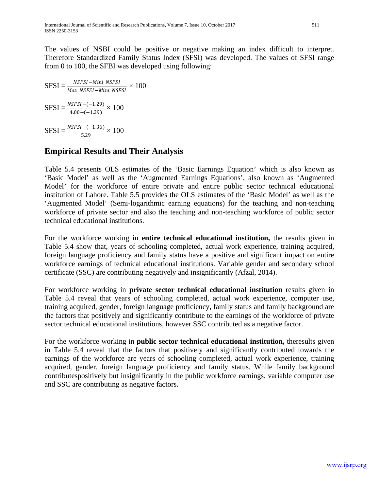The values of NSBI could be positive or negative making an index difficult to interpret. Therefore Standardized Family Status Index (SFSI) was developed. The values of SFSI range from 0 to 100, the SFBI was developed using following:

$$
SFSI = \frac{NSFSI - Mini NSFSI}{Max NSFSI - Mini NSFSI} \times 100
$$

$$
SFSI = \frac{NSFSI - (-1.29)}{4.00 - (-1.29)} \times 100
$$

$$
SFSI = \frac{NSFSI - (-1.36)}{5.29} \times 100
$$

# **Empirical Results and Their Analysis**

Table 5.4 presents OLS estimates of the 'Basic Earnings Equation' which is also known as 'Basic Model' as well as the 'Augmented Earnings Equations', also known as 'Augmented Model' for the workforce of entire private and entire public sector technical educational institution of Lahore. Table 5.5 provides the OLS estimates of the 'Basic Model' as well as the 'Augmented Model' (Semi-logarithmic earning equations) for the teaching and non-teaching workforce of private sector and also the teaching and non-teaching workforce of public sector technical educational institutions.

For the workforce working in **entire technical educational institution,** the results given in Table 5.4 show that, years of schooling completed, actual work experience, training acquired, foreign language proficiency and family status have a positive and significant impact on entire workforce earnings of technical educational institutions. Variable gender and secondary school certificate (SSC) are contributing negatively and insignificantly (Afzal, 2014).

For workforce working in **private sector technical educational institution** results given in Table 5.4 reveal that years of schooling completed, actual work experience, computer use, training acquired, gender, foreign language proficiency, family status and family background are the factors that positively and significantly contribute to the earnings of the workforce of private sector technical educational institutions, however SSC contributed as a negative factor.

For the workforce working in **public sector technical educational institution,** theresults given in Table 5.4 reveal that the factors that positively and significantly contributed towards the earnings of the workforce are years of schooling completed, actual work experience, training acquired, gender, foreign language proficiency and family status. While family background contributespositively but insignificantly in the public workforce earnings, variable computer use and SSC are contributing as negative factors.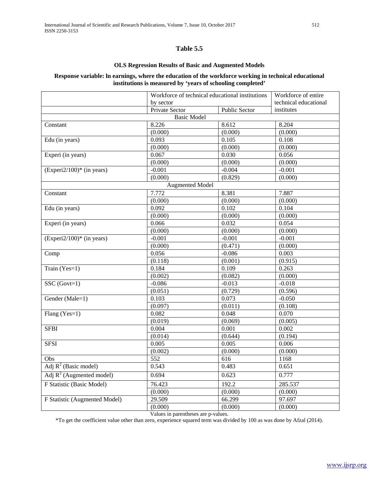#### **Table 5.5**

#### **OLS Regression Results of Basic and Augmented Models**

#### **Response variable: ln earnings, where the education of the workforce working in technical educational institutions is measured by 'years of schooling completed'**

|                                             | Workforce of technical educational institutions<br>by sector |                      | Workforce of entire   |
|---------------------------------------------|--------------------------------------------------------------|----------------------|-----------------------|
|                                             |                                                              |                      | technical educational |
|                                             | <b>Private Sector</b>                                        | <b>Public Sector</b> | institutes            |
|                                             | <b>Basic Model</b>                                           |                      |                       |
| Constant                                    | 8.226                                                        | 8.612                | 8.204                 |
|                                             | (0.000)                                                      | (0.000)              | (0.000)               |
| Edu (in years)                              | 0.093                                                        | 0.105                | 0.108                 |
|                                             | (0.000)                                                      | (0.000)              | (0.000)               |
| Experi (in years)                           | 0.067                                                        | 0.030                | 0.056                 |
|                                             | (0.000)                                                      | (0.000)              | (0.000)               |
| $(Experi2/100)*$ (in years)                 | $-0.001$                                                     | $-0.004$             | $-0.001$              |
|                                             | (0.000)                                                      | (0.829)              | (0.000)               |
|                                             | <b>Augmented Model</b>                                       |                      |                       |
| Constant                                    | 7.772                                                        | 8.381                | 7.887                 |
|                                             | (0.000)                                                      | (0.000)              | (0.000)               |
| Edu (in years)                              | 0.092                                                        | 0.102                | 0.104                 |
|                                             | (0.000)                                                      | (0.000)              | (0.000)               |
| Experi (in years)                           | 0.066                                                        | 0.032                | 0.054                 |
|                                             | (0.000)                                                      | (0.000)              | (0.000)               |
| $(Experiment2/100)$ <sup>*</sup> (in years) | $-0.001$                                                     | $-0.001$             | $-0.001$              |
|                                             | (0.000)                                                      | (0.471)              | (0.000)               |
| Comp                                        | 0.056                                                        | $-0.086$             | 0.003                 |
|                                             | (0.118)                                                      | (0.001)              | (0.915)               |
| Train $(Yes=1)$                             | 0.184                                                        | 0.109                | 0.263                 |
|                                             | (0.002)                                                      | (0.082)              | (0.000)               |
| $SSC(Govt=1)$                               | $-0.086$                                                     | $-0.013$             | $-0.018$              |
|                                             | (0.051)                                                      | (0.729)              | (0.596)               |
| Gender (Male=1)                             | 0.103                                                        | 0.073                | $-0.050$              |
|                                             | (0.097)                                                      | (0.011)              | (0.108)               |
| Flang (Yes=1)                               | 0.082                                                        | 0.048                | 0.070                 |
|                                             | (0.019)                                                      | (0.069)              | (0.005)               |
| <b>SFBI</b>                                 | 0.004                                                        | 0.001                | 0.002                 |
|                                             | (0.014)                                                      | (0.644)              | (0.194)               |
| <b>SFSI</b>                                 | 0.005                                                        | 0.005                | 0.006                 |
|                                             | (0.002)                                                      | (0.000)              | (0.000)               |
| Obs                                         | 552                                                          | 616                  | 1168                  |
| Adj $R^2$ (Basic model)                     | 0.543                                                        | 0.483                | 0.651                 |
| Adj $R^2$ (Augmented model)                 | 0.694                                                        | 0.623                | 0.777                 |
| F Statistic (Basic Model)                   | 76.423                                                       | 192.2                | 285.537               |
|                                             | (0.000)                                                      | (0.000)              | (0.000)               |
| F Statistic (Augmented Model)               | 29.509                                                       | 66.299               | 97.697                |
|                                             | (0.000)                                                      | (0.000)              | (0.000)               |

Values in parentheses are p-values.

\*To get the coefficient value other than zero, experience squared term was divided by 100 as was done by Afzal (2014).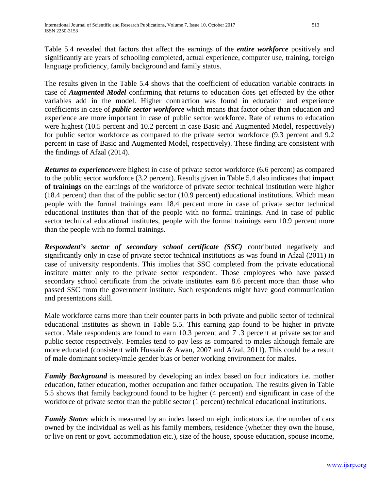Table 5.4 revealed that factors that affect the earnings of the *entire workforce* positively and significantly are years of schooling completed, actual experience, computer use, training, foreign language proficiency, family background and family status.

The results given in the Table 5.4 shows that the coefficient of education variable contracts in case of *Augmented Model* confirming that returns to education does get effected by the other variables add in the model. Higher contraction was found in education and experience coefficients in case of *public sector workforce* which means that factor other than education and experience are more important in case of public sector workforce. Rate of returns to education were highest (10.5 percent and 10.2 percent in case Basic and Augmented Model, respectively) for public sector workforce as compared to the private sector workforce (9.3 percent and 9.2 percent in case of Basic and Augmented Model, respectively). These finding are consistent with the findings of Afzal (2014).

*Returns to experience*were highest in case of private sector workforce (6.6 percent) as compared to the public sector workforce (3.2 percent). Results given in Table 5.4 also indicates that **impact of trainings** on the earnings of the workforce of private sector technical institution were higher (18.4 percent) than that of the public sector (10.9 percent) educational institutions. Which mean people with the formal trainings earn 18.4 percent more in case of private sector technical educational institutes than that of the people with no formal trainings. And in case of public sector technical educational institutes, people with the formal trainings earn 10.9 percent more than the people with no formal trainings.

*Respondent's sector of secondary school certificate (SSC)* contributed negatively and significantly only in case of private sector technical institutions as was found in Afzal (2011) in case of university respondents. This implies that SSC completed from the private educational institute matter only to the private sector respondent. Those employees who have passed secondary school certificate from the private institutes earn 8.6 percent more than those who passed SSC from the government institute. Such respondents might have good communication and presentations skill.

Male workforce earns more than their counter parts in both private and public sector of technical educational institutes as shown in Table 5.5. This earning gap found to be higher in private sector. Male respondents are found to earn 10.3 percent and 7 .3 percent at private sector and public sector respectively. Females tend to pay less as compared to males although female are more educated (consistent with Hussain & Awan, 2007 and Afzal, 2011). This could be a result of male dominant society/male gender bias or better working environment for males.

*Family Background* is measured by developing an index based on four indicators i.e. mother education, father education, mother occupation and father occupation. The results given in Table 5.5 shows that family background found to be higher (4 percent) and significant in case of the workforce of private sector than the public sector (1 percent) technical educational institutions.

*Family Status* which is measured by an index based on eight indicators i.e. the number of cars owned by the individual as well as his family members, residence (whether they own the house, or live on rent or govt. accommodation etc.), size of the house, spouse education, spouse income,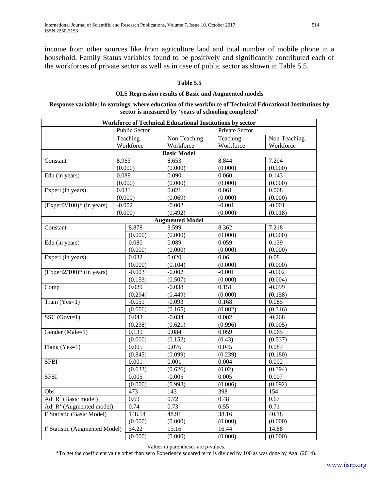income from other sources like from agriculture land and total number of mobile phone in a household. Family Status variables found to be positively and significantly contributed each of the workforces of private sector as well as in case of public sector as shown in Table 5.5.

#### **Table 5.5**

#### **OLS Regression results of Basic and Augmented models**

#### **Response variable: ln earnings, where education of the workforce of Technical Educational Institutions by sector is measured by 'years of schooling completed'**

|                                         |                      |          |                        | <b>Workforce of Technical Educational Institutions by sector</b> |              |
|-----------------------------------------|----------------------|----------|------------------------|------------------------------------------------------------------|--------------|
|                                         | <b>Public Sector</b> |          |                        | Private Sector                                                   |              |
| Teaching                                |                      |          | Non-Teaching           | Teaching                                                         | Non-Teaching |
| Workforce                               |                      |          | Workforce              | Workforce                                                        | Workforce    |
|                                         |                      |          | <b>Basic Model</b>     |                                                                  |              |
| Constant                                | 8.963                |          | 8.653                  | 8.844                                                            | 7.294        |
|                                         | (0.000)              |          | (0.000)                | (0.000)                                                          | (0.000)      |
| Edu (in years)                          | 0.089                |          | 0.090                  | 0.060                                                            | 0.143        |
|                                         | (0.000)              |          | (0.000)                | (0.000)                                                          | (0.000)      |
| Experi (in years)                       | 0.031                |          | 0.021                  | 0.061                                                            | 0.068        |
|                                         | (0.000)              |          | (0.069)                | (0.000)                                                          | (0.000)      |
| $(Experiment2/100)*$ (in years)         | $-0.002$             |          | $-0.002$               | $-0.001$                                                         | $-0.001$     |
|                                         | (0.000)              |          | (0.492)                | (0.000)                                                          | (0.018)      |
|                                         |                      |          | <b>Augmented Model</b> |                                                                  |              |
| Constant                                | 8.878                |          | 8.599                  | 8.362                                                            | 7.218        |
|                                         |                      | (0.000)  | (0.000)                | (0.000)                                                          | (0.000)      |
| Edu (in years)                          | 0.080                |          | 0.089                  | 0.059                                                            | 0.139        |
|                                         |                      | (0.000)  | (0.000)                | (0.000)                                                          | (0.000)      |
| Experi (in years)                       | 0.032                |          | 0.020                  | 0.06                                                             | 0.08         |
|                                         |                      | (0.000)  | (0.104)                | (0.000)                                                          | (0.000)      |
| $(Experi2/100)$ <sup>*</sup> (in years) | $-0.003$             |          | $-0.002$               | $-0.001$                                                         | $-0.002$     |
|                                         |                      | (0.153)  | (0.507)                | (0.000)                                                          | (0.004)      |
| Comp                                    | 0.029                |          | $-0.038$               | 0.151                                                            | $-0.099$     |
|                                         |                      | (0.294)  | (0.449)                | (0.000)                                                          | (0.158)      |
| Train (Yes=1)                           |                      | $-0.051$ | $-0.093$               | 0.168                                                            | 0.085        |
|                                         |                      | (0.606)  | (0.165)                | (0.082)                                                          | (0.316)      |
| $SSC(Govt=1)$                           |                      | 0.043    | $-0.034$               | 0.002                                                            | $-0.268$     |
|                                         |                      | (0.238)  | (0.621)                | (0.996)                                                          | (0.005)      |
| Gender (Male=1)                         | 0.139                |          | 0.084                  | 0.059                                                            | 0.065        |
|                                         |                      | (0.000)  | (0.152)                | (0.43)                                                           | (0.537)      |
| Flang (Yes=1)                           | 0.005                |          | 0.076                  | 0.045                                                            | 0.087        |
|                                         |                      | (0.845)  | (0.099)                | (0.239)                                                          | (0.180)      |
| <b>SFBI</b>                             | 0.001                |          | 0.001                  | 0.004                                                            | 0.002        |
|                                         |                      | (0.633)  | (0.626)                | (0.02)                                                           | (0.394)      |
| <b>SFSI</b>                             |                      | 0.005    | $-0.005$               | 0.005                                                            | 0.007        |
|                                         |                      | (0.000)  | (0.998)                | (0.006)                                                          | (0.092)      |
| Obs                                     |                      | 473      | 143                    | 398                                                              | 154          |
| Adj $R^2$ (Basic model)                 | 0.69                 |          | 0.72                   | 0.48                                                             | 0.67         |
| Adj $R^2$ (Augmented model)             |                      | 0.74     | 0.73                   | 0.55                                                             | 0.71         |
| F Statistic (Basic Model)               | 148.54               |          | 48.91                  | 38.16                                                            | 40.18        |
|                                         |                      | (0.000)  | (0.000)                | (0.000)                                                          | (0.000)      |
| F Statistic (Augmented Model)           |                      | 54.22    | 15.16                  | 16.44                                                            | 14.88        |
|                                         |                      | (0.000)  | (0.000)                | (0.000)                                                          | (0.000)      |

Values in parentheses are p-values.

\*To get the coefficient value other than zero Experience squared term is divided by 100 as was done by Azal (2014).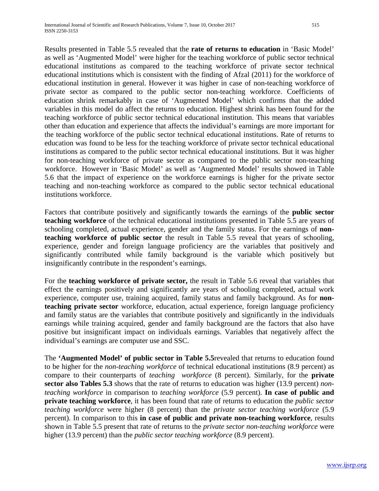Results presented in Table 5.5 revealed that the **rate of returns to education** in 'Basic Model' as well as 'Augmented Model' were higher for the teaching workforce of public sector technical educational institutions as compared to the teaching workforce of private sector technical educational institutions which is consistent with the finding of Afzal (2011) for the workforce of educational institution in general. However it was higher in case of non-teaching workforce of private sector as compared to the public sector non-teaching workforce. Coefficients of education shrink remarkably in case of 'Augmented Model' which confirms that the added variables in this model do affect the returns to education. Highest shrink has been found for the teaching workforce of public sector technical educational institution. This means that variables other than education and experience that affects the individual's earnings are more important for the teaching workforce of the public sector technical educational institutions. Rate of returns to education was found to be less for the teaching workforce of private sector technical educational institutions as compared to the public sector technical educational institutions. But it was higher for non-teaching workforce of private sector as compared to the public sector non-teaching workforce. However in 'Basic Model' as well as 'Augmented Model' results showed in Table 5.6 that the impact of experience on the workforce earnings is higher for the private sector teaching and non-teaching workforce as compared to the public sector technical educational institutions workforce.

Factors that contribute positively and significantly towards the earnings of the **public sector teaching workforce** of the technical educational institutions presented in Table 5.5 are years of schooling completed, actual experience, gender and the family status. For the earnings of **nonteaching workforce of public sector** the result in Table 5.5 reveal that years of schooling, experience, gender and foreign language proficiency are the variables that positively and significantly contributed while family background is the variable which positively but insignificantly contribute in the respondent's earnings.

For the **teaching workforce of private sector,** the result in Table 5.6 reveal that variables that effect the earnings positively and significantly are years of schooling completed, actual work experience, computer use, training acquired, family status and family background. As for **nonteaching private sector** workforce, education, actual experience, foreign language proficiency and family status are the variables that contribute positively and significantly in the individuals earnings while training acquired, gender and family background are the factors that also have positive but insignificant impact on individuals earnings. Variables that negatively affect the individual's earnings are computer use and SSC.

The **'Augmented Model' of public sector in Table 5.5**revealed that returns to education found to be higher for the *non-teaching workforce* of technical educational institutions (8.9 percent) as compare to their counterparts of *teaching workforce* (8 percent). Similarly, for the **private sector also Tables 5.3** shows that the rate of returns to education was higher (13.9 percent) *nonteaching workforce* in comparison to *teaching workforce* (5.9 percent). **In case of public and private teaching workforce**, it has been found that rate of returns to education the *public sector teaching workforce* were higher (8 percent) than the *private sector teaching workforce* (5.9 percent). In comparison to this **in case of public and private non-teaching workforce**, results shown in Table 5.5 present that rate of returns to the *private sector non-teaching workforce* were higher (13.9 percent) than the *public sector teaching workforce* (8.9 percent).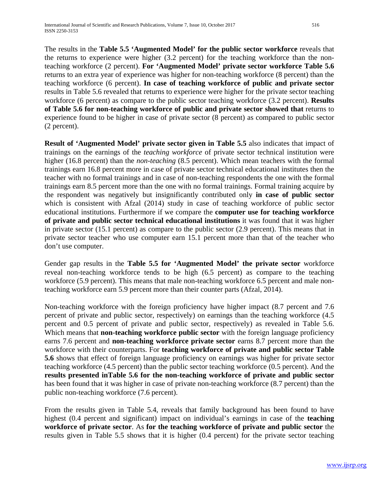The results in the **Table 5.5 'Augmented Model' for the public sector workforce** reveals that the returns to experience were higher (3.2 percent) for the teaching workforce than the nonteaching workforce (2 percent). **For 'Augmented Model' private sector workforce Table 5.6**  returns to an extra year of experience was higher for non-teaching workforce (8 percent) than the teaching workforce (6 percent). **In case of teaching workforce of public and private sector**  results in Table 5.6 revealed that returns to experience were higher for the private sector teaching workforce (6 percent) as compare to the public sector teaching workforce (3.2 percent). **Results of Table 5.6 for non-teaching workforce of public and private sector showed that** returns to experience found to be higher in case of private sector (8 percent) as compared to public sector (2 percent).

**Result of 'Augmented Model' private sector given in Table 5.5** also indicates that impact of trainings on the earnings of the *teaching workforce* of private sector technical institution were higher (16.8 percent) than the *non-teaching* (8.5 percent). Which mean teachers with the formal trainings earn 16.8 percent more in case of private sector technical educational institutes then the teacher with no formal trainings and in case of non-teaching respondents the one with the formal trainings earn 8.5 percent more than the one with no formal trainings. Formal training acquire by the respondent was negatively but insignificantly contributed only **in case of public sector**  which is consistent with Afzal (2014) study in case of teaching workforce of public sector educational institutions. Furthermore if we compare the **computer use for teaching workforce of private and public sector technical educational institutions** it was found that it was higher in private sector (15.1 percent) as compare to the public sector (2.9 percent). This means that in private sector teacher who use computer earn 15.1 percent more than that of the teacher who don't use computer.

Gender gap results in the **Table 5.5 for 'Augmented Model' the private sector** workforce reveal non-teaching workforce tends to be high (6.5 percent) as compare to the teaching workforce (5.9 percent). This means that male non-teaching workforce 6.5 percent and male nonteaching workforce earn 5.9 percent more than their counter parts (Afzal, 2014).

Non-teaching workforce with the foreign proficiency have higher impact (8.7 percent and 7.6 percent of private and public sector, respectively) on earnings than the teaching workforce (4.5 percent and 0.5 percent of private and public sector, respectively) as revealed in Table 5.6. Which means that **non-teaching workforce public sector** with the foreign language proficiency earns 7.6 percent and **non-teaching workforce private sector** earns 8.7 percent more than the workforce with their counterparts. For **teaching workforce of private and public sector Table 5.6** shows that effect of foreign language proficiency on earnings was higher for private sector teaching workforce (4.5 percent) than the public sector teaching workforce (0.5 percent). And the **results presented inTable 5.6 for the non-teaching workforce of private and public sector**  has been found that it was higher in case of private non-teaching workforce (8.7 percent) than the public non-teaching workforce (7.6 percent).

From the results given in Table 5.4, reveals that family background has been found to have highest (0.4 percent and significant) impact on individual's earnings in case of the **teaching workforce of private sector**. As **for the teaching workforce of private and public sector** the results given in Table 5.5 shows that it is higher (0.4 percent) for the private sector teaching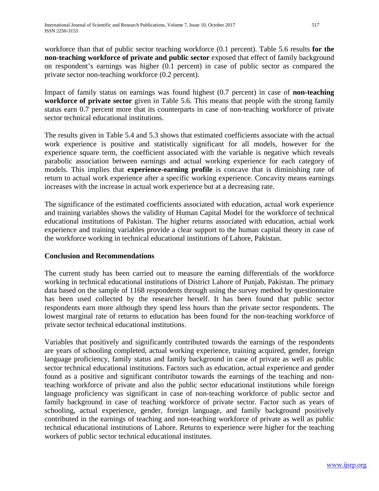workforce than that of public sector teaching workforce (0.1 percent). Table 5.6 results **for the non-teaching workforce of private and public sector** exposed that effect of family background on respondent's earnings was higher (0.1 percent) in case of public sector as compared the private sector non-teaching workforce (0.2 percent).

Impact of family status on earnings was found highest (0.7 percent) in case of **non-teaching workforce of private sector** given in Table 5.6. This means that people with the strong family status earn 0.7 percent more that its counterparts in case of non-teaching workforce of private sector technical educational institutions.

The results given in Table 5.4 and 5.3 shows that estimated coefficients associate with the actual work experience is positive and statistically significant for all models, however for the experience square term, the coefficient associated with the variable is negative which reveals parabolic association between earnings and actual working experience for each category of models. This implies that **experience-earning profile** is concave that is diminishing rate of return to actual work experience after a specific working experience. Concavity means earnings increases with the increase in actual work experience but at a decreasing rate.

The significance of the estimated coefficients associated with education, actual work experience and training variables shows the validity of Human Capital Model for the workforce of technical educational institutions of Pakistan. The higher returns associated with education, actual work experience and training variables provide a clear support to the human capital theory in case of the workforce working in technical educational institutions of Lahore, Pakistan.

# **Conclusion and Recommendations**

The current study has been carried out to measure the earning differentials of the workforce working in technical educational institutions of District Lahore of Punjab, Pakistan. The primary data based on the sample of 1168 respondents through using the survey method by questionnaire has been used collected by the researcher herself. It has been found that public sector respondents earn more although they spend less hours than the private sector respondents. The lowest marginal rate of returns to education has been found for the non-teaching workforce of private sector technical educational institutions.

Variables that positively and significantly contributed towards the earnings of the respondents are years of schooling completed, actual working experience, training acquired, gender, foreign language proficiency, family status and family background in case of private as well as public sector technical educational institutions. Factors such as education, actual experience and gender found as a positive and significant contributor towards the earnings of the teaching and nonteaching workforce of private and also the public sector educational institutions while foreign language proficiency was significant in case of non-teaching workforce of public sector and family background in case of teaching workforce of private sector. Factor such as years of schooling, actual experience, gender, foreign language, and family background positively contributed in the earnings of teaching and non-teaching workforce of private as well as public technical educational institutions of Lahore. Returns to experience were higher for the teaching workers of public sector technical educational institutes.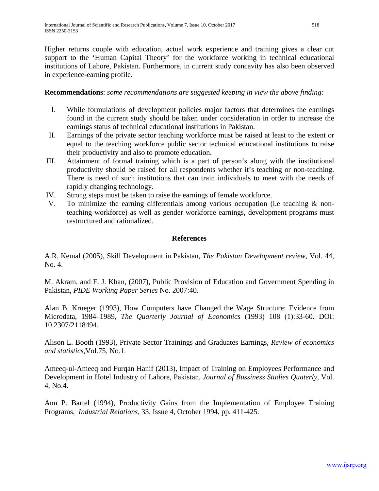Higher returns couple with education, actual work experience and training gives a clear cut support to the 'Human Capital Theory' for the workforce working in technical educational institutions of Lahore, Pakistan. Furthermore, in current study concavity has also been observed in experience-earning profile.

### **Recommendations**: *some recommendations are suggested keeping in view the above finding:*

- I. While formulations of development policies major factors that determines the earnings found in the current study should be taken under consideration in order to increase the earnings status of technical educational institutions in Pakistan.
- II. Earnings of the private sector teaching workforce must be raised at least to the extent or equal to the teaching workforce public sector technical educational institutions to raise their productivity and also to promote education.
- III. Attainment of formal training which is a part of person's along with the institutional productivity should be raised for all respondents whether it's teaching or non-teaching. There is need of such institutions that can train individuals to meet with the needs of rapidly changing technology.
- IV. Strong steps must be taken to raise the earnings of female workforce.
- V. To minimize the earning differentials among various occupation (i.e teaching & nonteaching workforce) as well as gender workforce earnings, development programs must restructured and rationalized.

### **References**

A.R. Kemal (2005), Skill Development in Pakistan, *The Pakistan Development review,* Vol. 44, No. 4.

M. Akram, and F. J. Khan, (2007), Public Provision of Education and Government Spending in Pakistan, *PIDE Working Paper Series* No. 2007:40.

Alan B. Krueger (1993), How Computers have Changed the Wage Structure: Evidence from Microdata, 1984–1989, *The Quarterly Journal of Economics* (1993) 108 (1):33-60. DOI: 10.2307/2118494.

Alison L. Booth (1993), Private Sector Trainings and Graduates Earnings*, Review of economics and statistics,*Vol.75, No.1.

Ameeq-ul-Ameeq and Furqan Hanif (2013), Impact of Training on Employees Performance and Development in Hotel Industry of Lahore, Pakistan, *Journal of Bussiness Studies Quaterly,* Vol. 4, No.4.

Ann P. Bartel (1994), Productivity Gains from the Implementation of Employee Training Programs, *Industrial Relations,* 33, Issue 4, October 1994, pp. 411-425.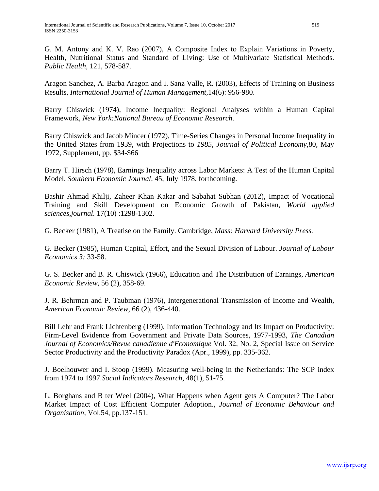G. M. Antony and K. V. Rao (2007), A Composite Index to Explain Variations in Poverty, Health, Nutritional Status and Standard of Living: Use of Multivariate Statistical Methods. *Public Health*, 121, 578-587.

Aragon Sanchez, A. Barba Aragon and I. Sanz Valle, R. (2003), Effects of Training on Business Results, *International Journal of Human Management,*14(6): 956-980.

Barry Chiswick (1974), Income Inequality: Regional Analyses within a Human Capital Framework*, New York:National Bureau of Economic Research*.

Barry Chiswick and Jacob Mincer (1972), Time-Series Changes in Personal Income Inequality in the United States from 1939, with Projections to *1985, Journal of Political Economy,*80, May 1972, Supplement, pp. \$34-\$66

Barry T. Hirsch (1978), Earnings Inequality across Labor Markets: A Test of the Human Capital Model, *Southern Economic Journal,* 45, July 1978, forthcoming.

Bashir Ahmad Khilji, Zaheer Khan Kakar and Sabahat Subhan (2012), Impact of Vocational Training and Skill Development on Economic Growth of Pakistan, *World applied sciences,journal.* 17(10) :1298-1302.

G. Becker (1981), A Treatise on the Family. Cambridge, *Mass: Harvard University Press.* 

G. Becker (1985), Human Capital, Effort, and the Sexual Division of Labour. *Journal of Labour Economics 3:* 33-58.

G. S. Becker and B. R. Chiswick (1966), Education and The Distribution of Earnings, *American Economic Review,* 56 (2), 358-69.

J. R. Behrman and P. Taubman (1976), Intergenerational Transmission of Income and Wealth, *American Economic Review,* 66 (2), 436-440.

Bill Lehr and Frank Lichtenberg (1999), Information Technology and Its Impact on Productivity: Firm-Level Evidence from Government and Private Data Sources, 1977-1993, *The Canadian Journal of Economics/Revue canadienne d'Economique* Vol. 32, No. 2, Special Issue on Service Sector Productivity and the Productivity Paradox (Apr., 1999), pp. 335-362.

J. Boelhouwer and I. Stoop (1999). Measuring well-being in the Netherlands: The SCP index from 1974 to 1997.*Social Indicators Research,* 48(1), 51-75.

L. Borghans and B ter Weel (2004), What Happens when Agent gets A Computer? The Labor Market Impact of Cost Efficient Computer Adoption., *Journal of Economic Behaviour and Organisation*, Vol.54, pp.137-151.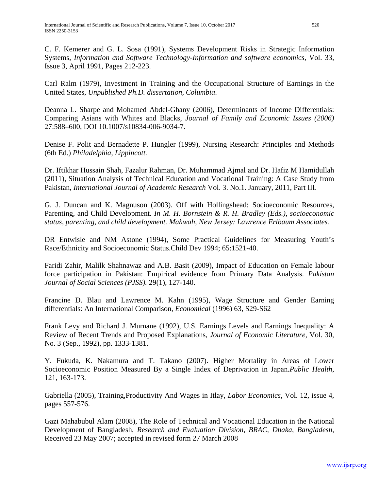C. F. Kemerer and G. L. Sosa (1991), Systems Development Risks in Strategic Information Systems, *Information and Software Technology-Information and software economics,* Vol. 33, Issue 3, April 1991, Pages 212-223.

Carl Ralm (1979), Investment in Training and the Occupational Structure of Earnings in the United States, *Unpublished Ph.D. dissertation, Columbia*.

Deanna L. Sharpe and Mohamed Abdel-Ghany (2006), Determinants of Income Differentials: Comparing Asians with Whites and Blacks, *Journal of Family and Economic Issues (2006)*  27:588–600, DOI 10.1007/s10834-006-9034-7.

[Denise F. Polit](https://www.google.com.pk/search?tbo=p&tbm=bks&q=inauthor:%22Denise+F.+Polit%22) and [Bernadette P. Hungler](https://www.google.com.pk/search?tbo=p&tbm=bks&q=inauthor:%22Bernadette+P.+Hungler%22) (1999), Nursing Research: Principles and Methods (6th Ed.) *Philadelphia, Lippincott.*

Dr. Iftikhar Hussain Shah, Fazalur Rahman, Dr. Muhammad Ajmal and Dr. Hafiz M Hamidullah (2011), Situation Analysis of Technical Education and Vocational Training: A Case Study from Pakistan, *International Journal of Academic Research* Vol. 3. No.1. January, 2011, Part III.

G. J. Duncan and K. Magnuson (2003). Off with Hollingshead: Socioeconomic Resources, Parenting, and Child Development. *In M. H. Bornstein & R. H. Bradley (Eds.), socioeconomic status, parenting, and child development. Mahwah, New Jersey: Lawrence Erlbaum Associates.*

DR Entwisle and NM Astone (1994), Some Practical Guidelines for Measuring Youth's Race/Ethnicity and Socioeconomic Status.Child Dev 1994; 65:1521-40.

Faridi Zahir, Malilk Shahnawaz and A.B. Basit (2009), Impact of Education on Female labour force participation in Pakistan: Empirical evidence from Primary Data Analysis. *Pakistan Journal of Social Sciences (PJSS).* 29(1), 127-140.

Francine D. Blau and Lawrence M. Kahn (1995), Wage Structure and Gender Earning differentials: An International Comparison, *Economical* (1996) 63, S29-S62

Frank Levy and Richard J. Murnane (1992), U.S. Earnings Levels and Earnings Inequality: A Review of Recent Trends and Proposed Explanations, *Journal of Economic Literature,* Vol. 30, No. 3 (Sep., 1992), pp. 1333-1381.

Y. Fukuda, K. Nakamura and T. Takano (2007). Higher Mortality in Areas of Lower Socioeconomic Position Measured By a Single Index of Deprivation in Japan.*Public Health*, 121, 163-173.

Gabriella (2005), Training,Productivity And Wages in Itlay, *Labor Economics,* Vol. 12, issue 4, pages 557-576.

Gazi Mahabubul Alam (2008), The Role of Technical and Vocational Education in the National Development of Bangladesh, *Research and Evaluation Division, BRAC, Dhaka, Bangladesh,*  Received 23 May 2007; accepted in revised form 27 March 2008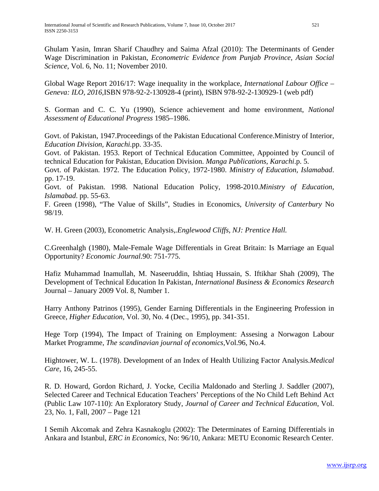Ghulam Yasin, Imran Sharif Chaudhry and Saima Afzal (2010): The Determinants of Gender Wage Discrimination in Pakistan, *Econometric Evidence from Punjab Province, Asian Social Science,* Vol. 6, No. 11; November 2010.

Global Wage Report 2016/17: Wage inequality in the workplace, *International Labour Office – Geneva: ILO, 2016,*ISBN 978-92-2-130928-4 (print), ISBN 978-92-2-130929-1 (web pdf)

S. Gorman and C. C. Yu (1990), Science achievement and home environment, *National Assessment of Educational Progress* 1985–1986.

Govt. of Pakistan, 1947.Proceedings of the Pakistan Educational Conference.Ministry of Interior, *Education Division, Karachi.*pp. 33-35.

Govt. of Pakistan. 1953. Report of Technical Education Committee, Appointed by Council of technical Education for Pakistan, Education Division. *Manga Publications, Karachi*.p. 5.

Govt. of Pakistan. 1972. The Education Policy, 1972-1980. *Ministry of Education, Islamabad*. pp. 17-19.

Govt. of Pakistan. 1998. National Education Policy, 1998-2010.*Ministry of Education, Islamabad*. pp. 55-63.

F. Green (1998), "The Value of Skills", Studies in Economics, *University of Canterbury* No 98/19.

W. H. Green (2003), Econometric Analysis,*.Englewood Cliffs, NJ: Prentice Hall.*

C.Greenhalgh (1980), Male-Female Wage Differentials in Great Britain: Is Marriage an Equal Opportunity? *Economic Journal.*90: 751-775.

Hafiz Muhammad Inamullah, M. Naseeruddin, Ishtiaq Hussain, S. Iftikhar Shah (2009), The Development of Technical Education In Pakistan, *International Business & Economics Research*  Journal – January 2009 Vol. 8, Number 1.

Harry Anthony Patrinos (1995), Gender Earning Differentials in the Engineering Profession in Greece, *Higher Education,* Vol. 30, No. 4 (Dec., 1995), pp. 341-351.

Hege Torp (1994), The Impact of Training on Employment: Assesing a Norwagon Labour Market Programme, *The scandinavian journal of economics,*Vol.96, No.4.

Hightower, W. L. (1978). Development of an Index of Health Utilizing Factor Analysis.*Medical Care,* 16, 245-55.

R. D. Howard, Gordon Richard, J. Yocke, Cecilia Maldonado and Sterling J. Saddler (2007), Selected Career and Technical Education Teachers' Perceptions of the No Child Left Behind Act (Public Law 107-110): An Exploratory Study, *Journal of Career and Technical Education*, Vol. 23, No. 1, Fall, 2007 – Page 121

I Semih Akcomak and Zehra Kasnakoglu (2002): The Determinates of Earning Differentials in Ankara and Istanbul, *ERC in Economics,* No: 96/10, Ankara: METU Economic Research Center.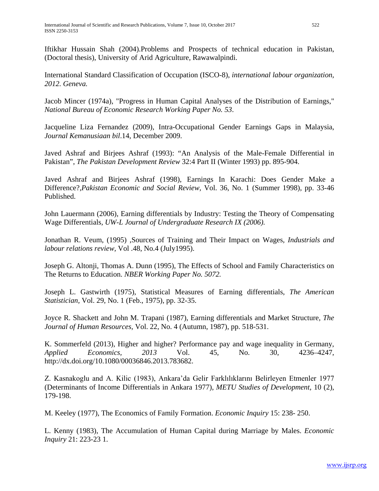Iftikhar Hussain Shah (2004).Problems and Prospects of technical education in Pakistan, (Doctoral thesis), University of Arid Agriculture, Rawawalpindi.

International Standard Classification of Occupation (ISCO-8), *international labour organization, 2012. Geneva.*

Jacob Mincer (1974a), "Progress in Human Capital Analyses of the Distribution of Earnings," *National Bureau of Economic Research Working Paper No. 53*.

Jacqueline Liza Fernandez (2009), Intra-Occupational Gender Earnings Gaps in Malaysia, *Journal Kemanusiaan bil*.14, December 2009.

Javed Ashraf and Birjees Ashraf (1993): "An Analysis of the Male-Female Differential in Pakistan", *The Pakistan Development Review* 32:4 Part II (Winter 1993) pp. 895-904.

Javed Ashraf and Birjees Ashraf (1998), Earnings In Karachi: Does Gender Make a Difference?,*Pakistan Economic and Social Review,* Vol. 36, No. 1 (Summer 1998), pp. 33-46 Published.

John Lauermann (2006), Earning differentials by Industry: Testing the Theory of Compensating Wage Differentials*, UW-L Journal of Undergraduate Research IX (2006).*

Jonathan R. Veum, (1995) ,Sources of Training and Their Impact on Wages*, Industrials and labour relations review,* Vol .48, No.4 (July1995).

Joseph G. Altonji, Thomas A. Dunn (1995), The Effects of School and Family Characteristics on The Returns to Education. *NBER Working Paper No. 5072.*

Joseph L. Gastwirth (1975), Statistical Measures of Earning differentials, *The American Statistician,* Vol. 29, No. 1 (Feb., 1975), pp. 32-35.

Joyce R. Shackett and John M. Trapani (1987), Earning differentials and Market Structure, *The Journal of Human Resources,* Vol. 22, No. 4 (Autumn, 1987), pp. 518-531.

K. Sommerfeld (2013), Higher and higher? Performance pay and wage inequality in Germany, *Applied Economics, 2013* Vol. 45, No. 30, 4236–4247, http://dx.doi.org/10.1080/00036846.2013.783682.

Z. Kasnakoglu and A. Kilic (1983), Ankara'da Gelir Farklılıklarını Belirleyen Etmenler 1977 (Determinants of Income Differentials in Ankara 1977), *METU Studies of Development,* 10 (2), 179-198.

M. Keeley (1977), The Economics of Family Formation. *Economic Inquiry* 15: 238- 250.

L. Kenny (1983), The Accumulation of Human Capital during Marriage by Males. *Economic Inquiry* 21: 223-23 1.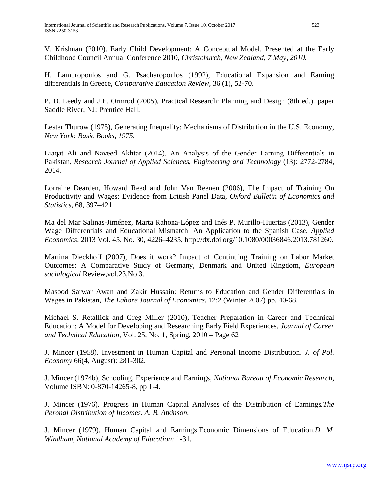V. Krishnan (2010). Early Child Development: A Conceptual Model. Presented at the Early Childhood Council Annual Conference 2010, *Christchurch, New Zealand, 7 May, 2010.*

H. Lambropoulos and G. Psacharopoulos (1992), Educational Expansion and Earning differentials in Greece, *Comparative Education Review,* 36 (1), 52-70.

P. D. Leedy and J.E. Ormrod (2005), Practical Research: Planning and Design (8th ed.). paper Saddle River, NJ: Prentice Hall.

Lester Thurow (1975), Generating Inequality: Mechanisms of Distribution in the U.S. Economy*, New York: Basic Books, 1975.*

Liaqat Ali and Naveed Akhtar (2014), An Analysis of the Gender Earning Differentials in Pakistan, *Research Journal of Applied Sciences, Engineering and Technology* (13): 2772-2784, 2014.

Lorraine Dearden, Howard Reed and John Van Reenen (2006), The Impact of Training On Productivity and Wages: Evidence from British Panel Data, *Oxford Bulletin of Economics and Statistics,* 68, 397–421.

Ma del Mar Salinas-Jiménez, Marta Rahona-López and Inés P. Murillo-Huertas (2013), Gender Wage Differentials and Educational Mismatch: An Application to the Spanish Case, *Applied Economics,* 2013 Vol. 45, No. 30, 4226–4235, http://dx.doi.org/10.1080/00036846.2013.781260.

Martina Dieckhoff (2007), Does it work? Impact of Continuing Training on Labor Market Outcomes: A Comparative Study of Germany, Denmark and United Kingdom, *European socialogical* Review,vol.23,No.3.

Masood Sarwar Awan and Zakir Hussain: Returns to Education and Gender Differentials in Wages in Pakistan, *The Lahore Journal of Economics.* 12:2 (Winter 2007) pp. 40-68.

Michael S. Retallick and Greg Miller (2010), Teacher Preparation in Career and Technical Education: A Model for Developing and Researching Early Field Experiences, *Journal of Career and Technical Education*, Vol. 25, No. 1, Spring, 2010 – Page 62

J. Mincer (1958), Investment in Human Capital and Personal Income Distribution. *J. of Pol. Economy* 66(4, August): 281-302.

J. Mincer (1974b), Schooling, Experience and Earnings, *[National Bureau of Economic Research,](http://www.nber.org/)* Volume ISBN: 0-870-14265-8, pp 1-4.

J. Mincer (1976). Progress in Human Capital Analyses of the Distribution of Earnings*.The Peronal Distribution of Incomes. A. B. Atkinson.*

J. Mincer (1979). Human Capital and Earnings.Economic Dimensions of Education.*D. M. Windham, National Academy of Education:* 1-31.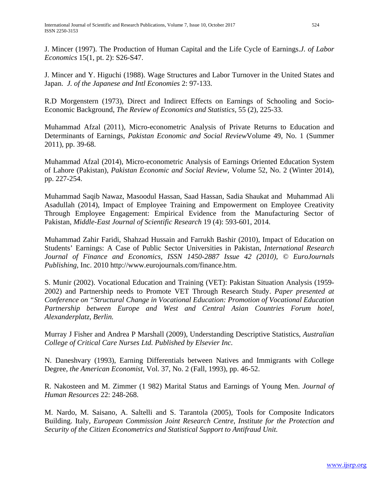J. Mincer (1997). The Production of Human Capital and the Life Cycle of Earnings.*J. of Labor Economics* 15(1, pt. 2): S26-S47.

J. Mincer and Y. Higuchi (1988). Wage Structures and Labor Turnover in the United States and Japan. *J. of the Japanese and Intl Economies* 2: 97-133.

R.D Morgenstern (1973), Direct and Indirect Effects on Earnings of Schooling and Socio-Economic Background, *The Review of Economics and Statistics,* 55 (2), 225-33.

Muhammad Afzal (2011), Micro-econometric Analysis of Private Returns to Education and Determinants of Earnings, *Pakistan Economic and Social Review*Volume 49, No. 1 (Summer 2011), pp. 39-68.

Muhammad Afzal (2014), Micro-econometric Analysis of Earnings Oriented Education System of Lahore (Pakistan), *Pakistan Economic and Social Review,* Volume 52, No. 2 (Winter 2014), pp. 227-254.

Muhammad Saqib Nawaz, Masoodul Hassan, Saad Hassan, Sadia Shaukat and Muhammad Ali Asadullah (2014), Impact of Employee Training and Empowerment on Employee Creativity Through Employee Engagement: Empirical Evidence from the Manufacturing Sector of Pakistan, *Middle-East Journal of Scientific Research* 19 (4): 593-601, 2014.

Muhammad Zahir Faridi, Shahzad Hussain and Farrukh Bashir (2010), Impact of Education on Students' Earnings: A Case of Public Sector Universities in Pakistan, *International Research Journal of Finance and Economics, ISSN 1450-2887 Issue 42 (2010), © EuroJournals Publishing,* Inc. 2010 http://www.eurojournals.com/finance.htm.

S. Munir (2002). Vocational Education and Training (VET): Pakistan Situation Analysis (1959- 2002) and Partnership needs to Promote VET Through Research Study. *Paper presented at Conference on "Structural Change in Vocational Education: Promotion of Vocational Education Partnership between Europe and West and Central Asian Countries Forum hotel, Alexanderplatz, Berlin.*

[Murray J Fisher](https://www.researchgate.net/profile/Murray_Fisher) and [Andrea P Marshall](https://www.researchgate.net/profile/Andrea_Marshall2) (2009), Understanding Descriptive Statistics, *Australian College of Critical Care Nurses Ltd. Published by Elsevier Inc.*

N. Daneshvary (1993), Earning Differentials between Natives and Immigrants with College Degree, *the American Economist,* Vol. 37, No. 2 (Fall, 1993), pp. 46-52.

R. Nakosteen and M. Zimmer (1 982) Marital Status and Earnings of Young Men. *Journal of Human Resources* 22: 248-268.

M. Nardo, M. Saisano, A. Saltelli and S. Tarantola (2005), Tools for Composite Indicators Building. Italy, *European Commission Joint Research Centre, Institute for the Protection and Security of the Citizen Econometrics and Statistical Support to Antifraud Unit.*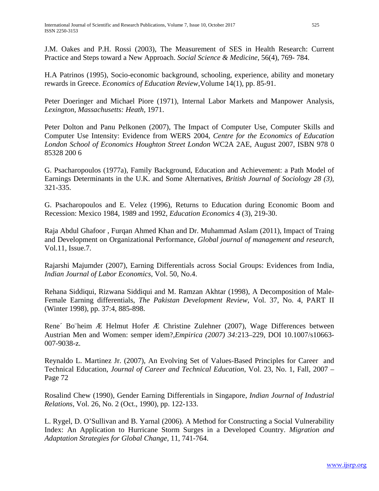J.M. Oakes and P.H. Rossi (2003), The Measurement of SES in Health Research: Current Practice and Steps toward a New Approach. *Social Science & Medicine,* 56(4), 769- 784.

H.A Patrinos (1995), Socio-economic background, schooling, experience, ability and monetary rewards in Greece. *Economics of Education Review*,Volume 14(1), pp. 85-91.

Peter Doeringer and Michael Piore (1971), Internal Labor Markets and Manpower Analysis*, Lexington, Massachusetts: Heath,* 1971.

Peter Dolton and Panu Pelkonen (2007), The Impact of Computer Use, Computer Skills and Computer Use Intensity: Evidence from WERS 2004, *Centre for the Economics of Education London School of Economics Houghton Street London* WC2A 2AE, August 2007, ISBN 978 0 85328 200 6

G. Psacharopoulos (1977a), Family Background, Education and Achievement: a Path Model of Earnings Determinants in the U.K. and Some Alternatives, *British Journal of Sociology 28 (3),* 321-335.

G. Psacharopoulos and E. Velez (1996), Returns to Education during Economic Boom and Recession: Mexico 1984, 1989 and 1992*, Education Economics* 4 (3), 219-30.

Raja Abdul Ghafoor , Furqan Ahmed Khan and Dr. Muhammad Aslam (2011), Impact of Traing and Development on Organizational Performance, *Global journal of management and research,* Vol.11, Issue.7.

Rajarshi Majumder (2007), Earning Differentials across Social Groups: Evidences from India*, Indian Journal of Labor Economics,* Vol. 50, No.4.

Rehana Siddiqui, Rizwana Siddiqui and M. Ramzan Akhtar (1998), A Decomposition of Male-Female Earning differentials, *The Pakistan Development Review,* Vol. 37, No. 4, PART II (Winter 1998), pp. 37:4, 885-898.

Rene´ Bo¨heim Æ Helmut Hofer Æ Christine Zulehner (2007), Wage Differences between Austrian Men and Women: semper idem?,*Empirica (2007) 34:*213–229, DOI 10.1007/s10663- 007-9038-z.

Reynaldo L. Martinez Jr. (2007), An Evolving Set of Values-Based Principles for Career and Technical Education, *Journal of Career and Technical Education*, Vol. 23, No. 1, Fall, 2007 – Page 72

Rosalind Chew (1990), Gender Earning Differentials in Singapore, *Indian Journal of Industrial Relations,* Vol. 26, No. 2 (Oct., 1990), pp. 122-133.

L. Rygel, D. O'Sullivan and B. Yarnal (2006). A Method for Constructing a Social Vulnerability Index: An Application to Hurricane Storm Surges in a Developed Country. *Migration and Adaptation Strategies for Global Change*, 11, 741-764.